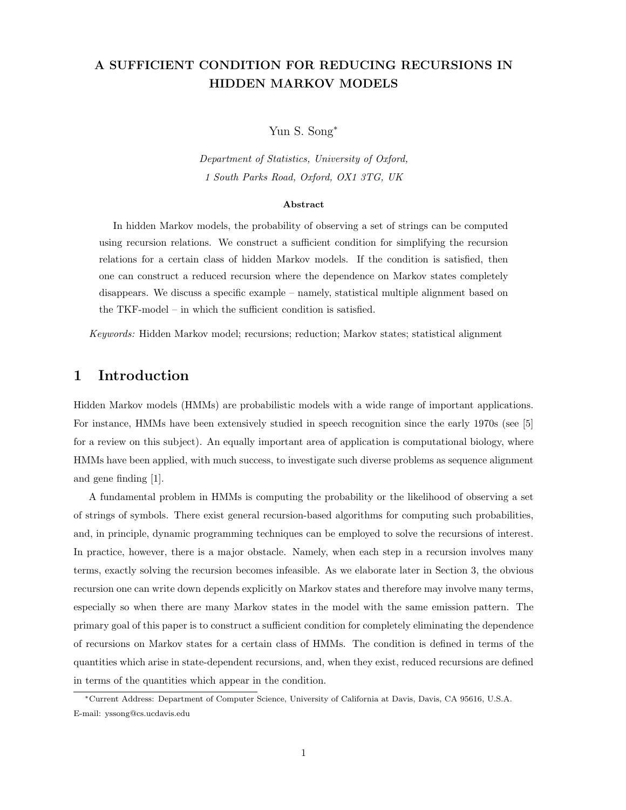# A SUFFICIENT CONDITION FOR REDUCING RECURSIONS IN HIDDEN MARKOV MODELS

Yun S. Song<sup>∗</sup>

Department of Statistics, University of Oxford, 1 South Parks Road, Oxford, OX1 3TG, UK

#### Abstract

In hidden Markov models, the probability of observing a set of strings can be computed using recursion relations. We construct a sufficient condition for simplifying the recursion relations for a certain class of hidden Markov models. If the condition is satisfied, then one can construct a reduced recursion where the dependence on Markov states completely disappears. We discuss a specific example – namely, statistical multiple alignment based on the TKF-model – in which the sufficient condition is satisfied.

Keywords: Hidden Markov model; recursions; reduction; Markov states; statistical alignment

# 1 Introduction

Hidden Markov models (HMMs) are probabilistic models with a wide range of important applications. For instance, HMMs have been extensively studied in speech recognition since the early 1970s (see [5] for a review on this subject). An equally important area of application is computational biology, where HMMs have been applied, with much success, to investigate such diverse problems as sequence alignment and gene finding [1].

A fundamental problem in HMMs is computing the probability or the likelihood of observing a set of strings of symbols. There exist general recursion-based algorithms for computing such probabilities, and, in principle, dynamic programming techniques can be employed to solve the recursions of interest. In practice, however, there is a major obstacle. Namely, when each step in a recursion involves many terms, exactly solving the recursion becomes infeasible. As we elaborate later in Section 3, the obvious recursion one can write down depends explicitly on Markov states and therefore may involve many terms, especially so when there are many Markov states in the model with the same emission pattern. The primary goal of this paper is to construct a sufficient condition for completely eliminating the dependence of recursions on Markov states for a certain class of HMMs. The condition is defined in terms of the quantities which arise in state-dependent recursions, and, when they exist, reduced recursions are defined in terms of the quantities which appear in the condition.

<sup>∗</sup>Current Address: Department of Computer Science, University of California at Davis, Davis, CA 95616, U.S.A. E-mail: yssong@cs.ucdavis.edu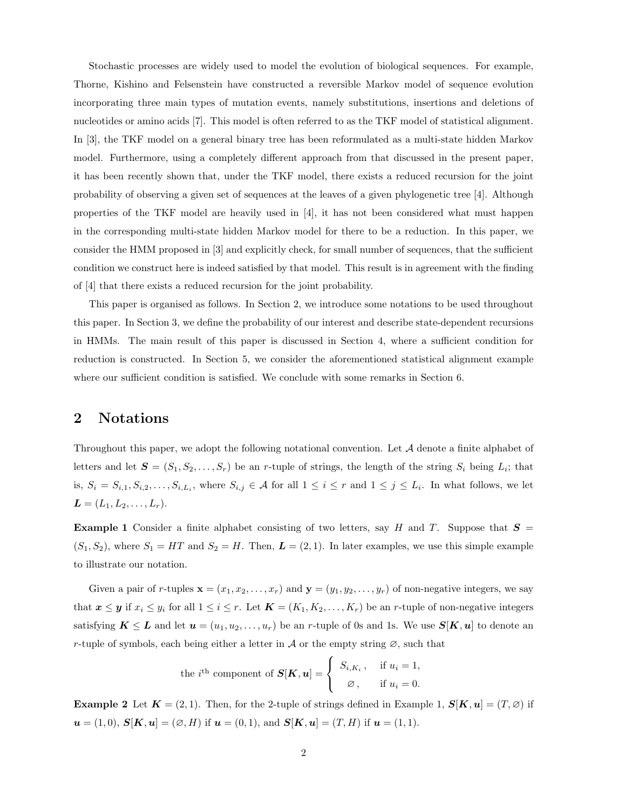Stochastic processes are widely used to model the evolution of biological sequences. For example, Thorne, Kishino and Felsenstein have constructed a reversible Markov model of sequence evolution incorporating three main types of mutation events, namely substitutions, insertions and deletions of nucleotides or amino acids [7]. This model is often referred to as the TKF model of statistical alignment. In [3], the TKF model on a general binary tree has been reformulated as a multi-state hidden Markov model. Furthermore, using a completely different approach from that discussed in the present paper, it has been recently shown that, under the TKF model, there exists a reduced recursion for the joint probability of observing a given set of sequences at the leaves of a given phylogenetic tree [4]. Although properties of the TKF model are heavily used in [4], it has not been considered what must happen in the corresponding multi-state hidden Markov model for there to be a reduction. In this paper, we consider the HMM proposed in [3] and explicitly check, for small number of sequences, that the sufficient condition we construct here is indeed satisfied by that model. This result is in agreement with the finding of [4] that there exists a reduced recursion for the joint probability.

This paper is organised as follows. In Section 2, we introduce some notations to be used throughout this paper. In Section 3, we define the probability of our interest and describe state-dependent recursions in HMMs. The main result of this paper is discussed in Section 4, where a sufficient condition for reduction is constructed. In Section 5, we consider the aforementioned statistical alignment example where our sufficient condition is satisfied. We conclude with some remarks in Section 6.

# 2 Notations

Throughout this paper, we adopt the following notational convention. Let A denote a finite alphabet of letters and let  $S = (S_1, S_2, \ldots, S_r)$  be an r-tuple of strings, the length of the string  $S_i$  being  $L_i$ ; that is,  $S_i = S_{i,1}, S_{i,2}, \ldots, S_{i,L_i}$ , where  $S_{i,j} \in \mathcal{A}$  for all  $1 \leq i \leq r$  and  $1 \leq j \leq L_i$ . In what follows, we let  $L = (L_1, L_2, \ldots, L_r).$ 

**Example 1** Consider a finite alphabet consisting of two letters, say H and T. Suppose that  $S =$  $(S_1, S_2)$ , where  $S_1 = HT$  and  $S_2 = H$ . Then,  $\boldsymbol{L} = (2, 1)$ . In later examples, we use this simple example to illustrate our notation.

Given a pair of r-tuples  $\mathbf{x} = (x_1, x_2, \dots, x_r)$  and  $\mathbf{y} = (y_1, y_2, \dots, y_r)$  of non-negative integers, we say that  $\mathbf{x} \leq \mathbf{y}$  if  $x_i \leq y_i$  for all  $1 \leq i \leq r$ . Let  $\mathbf{K} = (K_1, K_2, \ldots, K_r)$  be an r-tuple of non-negative integers satisfying  $K \leq L$  and let  $u = (u_1, u_2, \ldots, u_r)$  be an r-tuple of 0s and 1s. We use  $S[K, u]$  to denote an r-tuple of symbols, each being either a letter in  $\mathcal A$  or the empty string  $\varnothing$ , such that

the *i*<sup>th</sup> component of 
$$
S[K, u] = \begin{cases} S_{i,K_i}, & \text{if } u_i = 1, \\ \varnothing, & \text{if } u_i = 0. \end{cases}
$$

**Example 2** Let  $K = (2, 1)$ . Then, for the 2-tuple of strings defined in Example 1,  $S[K, u] = (T, \emptyset)$  if  $u = (1, 0), S[K, u] = (\emptyset, H)$  if  $u = (0, 1),$  and  $S[K, u] = (T, H)$  if  $u = (1, 1).$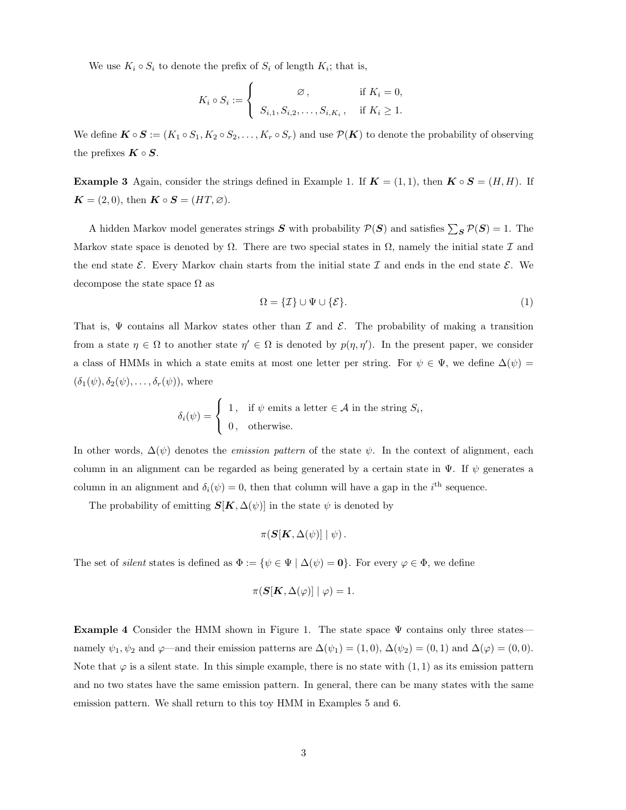We use  $K_i \circ S_i$  to denote the prefix of  $S_i$  of length  $K_i$ ; that is,

$$
K_i \circ S_i := \begin{cases} \emptyset, & \text{if } K_i = 0, \\ S_{i,1}, S_{i,2}, \dots, S_{i,K_i}, & \text{if } K_i \ge 1. \end{cases}
$$

We define  $\mathbf{K} \circ \mathbf{S} := (K_1 \circ S_1, K_2 \circ S_2, \dots, K_r \circ S_r)$  and use  $\mathcal{P}(\mathbf{K})$  to denote the probability of observing the prefixes  $\boldsymbol{K} \circ \boldsymbol{S}$ .

**Example 3** Again, consider the strings defined in Example 1. If  $K = (1, 1)$ , then  $K \circ S = (H, H)$ . If  $\mathbf{K} = (2, 0)$ , then  $\mathbf{K} \circ \mathbf{S} = (HT, \varnothing)$ .

A hidden Markov model generates strings S with probability  $P(S)$  and satisfies  $\sum_{S} P(S) = 1$ . The Markov state space is denoted by  $\Omega$ . There are two special states in  $\Omega$ , namely the initial state  $\mathcal I$  and the end state  $\mathcal{E}$ . Every Markov chain starts from the initial state  $\mathcal{I}$  and ends in the end state  $\mathcal{E}$ . We decompose the state space  $\Omega$  as

$$
\Omega = \{ \mathcal{I} \} \cup \Psi \cup \{ \mathcal{E} \}. \tag{1}
$$

That is,  $\Psi$  contains all Markov states other than  $\mathcal I$  and  $\mathcal E$ . The probability of making a transition from a state  $\eta \in \Omega$  to another state  $\eta' \in \Omega$  is denoted by  $p(\eta, \eta')$ . In the present paper, we consider a class of HMMs in which a state emits at most one letter per string. For  $\psi \in \Psi$ , we define  $\Delta(\psi)$  =  $(\delta_1(\psi), \delta_2(\psi), \ldots, \delta_r(\psi)),$  where

$$
\delta_i(\psi) = \begin{cases} 1, & \text{if } \psi \text{ emits a letter } \in \mathcal{A} \text{ in the string } S_i, \\ 0, & \text{otherwise.} \end{cases}
$$

In other words,  $\Delta(\psi)$  denotes the *emission pattern* of the state  $\psi$ . In the context of alignment, each column in an alignment can be regarded as being generated by a certain state in  $\Psi$ . If  $\psi$  generates a column in an alignment and  $\delta_i(\psi) = 0$ , then that column will have a gap in the *i*<sup>th</sup> sequence.

The probability of emitting  $S[K, \Delta(\psi)]$  in the state  $\psi$  is denoted by

$$
\pi(\bm{S}[\bm{K},\Delta(\psi)]\mid \psi).
$$

The set of *silent* states is defined as  $\Phi := {\psi \in \Psi \mid \Delta(\psi) = 0}.$  For every  $\varphi \in \Phi$ , we define

$$
\pi(\mathbf{S}[\mathbf{K}, \Delta(\varphi)] | \varphi) = 1.
$$

**Example 4** Consider the HMM shown in Figure 1. The state space  $\Psi$  contains only three states namely  $\psi_1, \psi_2$  and  $\varphi$ —and their emission patterns are  $\Delta(\psi_1) = (1, 0), \Delta(\psi_2) = (0, 1)$  and  $\Delta(\varphi) = (0, 0)$ . Note that  $\varphi$  is a silent state. In this simple example, there is no state with  $(1, 1)$  as its emission pattern and no two states have the same emission pattern. In general, there can be many states with the same emission pattern. We shall return to this toy HMM in Examples 5 and 6.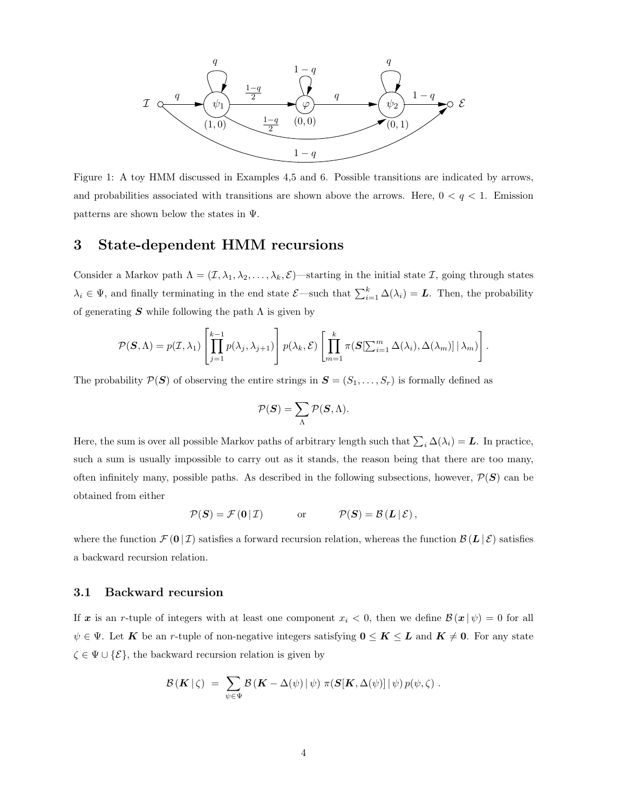

Figure 1: A toy HMM discussed in Examples 4,5 and 6. Possible transitions are indicated by arrows, and probabilities associated with transitions are shown above the arrows. Here,  $0 < q < 1$ . Emission patterns are shown below the states in Ψ.

# 3 State-dependent HMM recursions

Consider a Markov path  $\Lambda = (\mathcal{I}, \lambda_1, \lambda_2, \ldots, \lambda_k, \mathcal{E})$ —starting in the initial state  $\mathcal{I}$ , going through states  $\lambda_i \in \Psi$ , and finally terminating in the end state  $\mathcal{E}$ —such that  $\sum_{i=1}^k \Delta(\lambda_i) = L$ . Then, the probability of generating  $S$  while following the path  $\Lambda$  is given by

$$
\mathcal{P}(\mathbf{S}, \Lambda) = p(\mathcal{I}, \lambda_1) \left[ \prod_{j=1}^{k-1} p(\lambda_j, \lambda_{j+1}) \right] p(\lambda_k, \mathcal{E}) \left[ \prod_{m=1}^k \pi(\mathbf{S}[\sum_{i=1}^m \Delta(\lambda_i), \Delta(\lambda_m)] \, | \, \lambda_m) \right].
$$

The probability  $\mathcal{P}(\mathbf{S})$  of observing the entire strings in  $\mathbf{S} = (S_1, \ldots, S_r)$  is formally defined as

$$
\mathcal{P}(\boldsymbol{S}) = \sum_{\Lambda} \mathcal{P}(\boldsymbol{S}, \Lambda).
$$

Here, the sum is over all possible Markov paths of arbitrary length such that  $\sum_i \Delta(\lambda_i) = L$ . In practice, such a sum is usually impossible to carry out as it stands, the reason being that there are too many, often infinitely many, possible paths. As described in the following subsections, however,  $\mathcal{P}(\mathbf{S})$  can be obtained from either

$$
\mathcal{P}(\mathbf{S}) = \mathcal{F}(\mathbf{0} | \mathcal{I}) \quad \text{or} \quad \mathcal{P}(\mathbf{S}) = \mathcal{B}(\mathbf{L} | \mathcal{E}),
$$

where the function  $\mathcal{F}(\mathbf{0} | \mathcal{I})$  satisfies a forward recursion relation, whereas the function  $\mathcal{B}(\mathbf{L} | \mathcal{E})$  satisfies a backward recursion relation.

### 3.1 Backward recursion

If x is an r-tuple of integers with at least one component  $x_i < 0$ , then we define  $\mathcal{B}(x \mid \psi) = 0$  for all  $\psi \in \Psi$ . Let K be an r-tuple of non-negative integers satisfying  $0 \leq K \leq L$  and  $K \neq 0$ . For any state  $\zeta \in \Psi \cup \{\mathcal{E}\}\$ , the backward recursion relation is given by

$$
\mathcal{B}(\mathbf{K} | \zeta) = \sum_{\psi \in \Psi} \mathcal{B}(\mathbf{K} - \Delta(\psi) | \psi) \pi(\mathbf{S}[\mathbf{K}, \Delta(\psi)] | \psi) p(\psi, \zeta) .
$$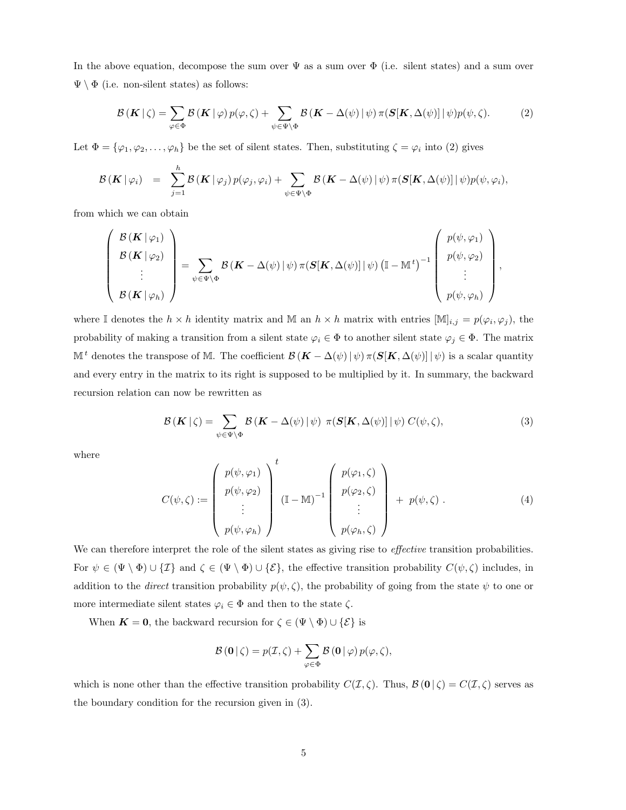In the above equation, decompose the sum over  $\Psi$  as a sum over  $\Phi$  (i.e. silent states) and a sum over  $\Psi \setminus \Phi$  (i.e. non-silent states) as follows:

$$
\mathcal{B}(\mathbf{K} \mid \zeta) = \sum_{\varphi \in \Phi} \mathcal{B}(\mathbf{K} \mid \varphi) p(\varphi, \zeta) + \sum_{\psi \in \Psi \setminus \Phi} \mathcal{B}(\mathbf{K} - \Delta(\psi) \mid \psi) \pi(\mathbf{S}[\mathbf{K}, \Delta(\psi)] \mid \psi) p(\psi, \zeta).
$$
 (2)

Let  $\Phi = {\varphi_1, \varphi_2, \ldots, \varphi_h}$  be the set of silent states. Then, substituting  $\zeta = \varphi_i$  into (2) gives

$$
\mathcal{B}(\mathbf{K} | \varphi_i) = \sum_{j=1}^n \mathcal{B}(\mathbf{K} | \varphi_j) p(\varphi_j, \varphi_i) + \sum_{\psi \in \Psi \backslash \Phi} \mathcal{B}(\mathbf{K} - \Delta(\psi) | \psi) \pi(\mathbf{S}[\mathbf{K}, \Delta(\psi)] | \psi) p(\psi, \varphi_i),
$$

from which we can obtain

h

$$
\begin{pmatrix}\n\mathcal{B}(\mathbf{K}|\varphi_1) \\
\mathcal{B}(\mathbf{K}|\varphi_2) \\
\vdots \\
\mathcal{B}(\mathbf{K}|\varphi_h)\n\end{pmatrix} = \sum_{\psi \in \Psi \backslash \Phi} \mathcal{B}(\mathbf{K} - \Delta(\psi) | \psi) \pi(\mathbf{S}[\mathbf{K}, \Delta(\psi)] | \psi) (\mathbb{I} - \mathbb{M}^t)^{-1} \begin{pmatrix}\np(\psi, \varphi_1) \\
p(\psi, \varphi_2) \\
\vdots \\
p(\psi, \varphi_h)\n\end{pmatrix},
$$

where I denotes the  $h \times h$  identity matrix and M an  $h \times h$  matrix with entries  $[\mathbb{M}]_{i,j} = p(\varphi_i, \varphi_j)$ , the probability of making a transition from a silent state  $\varphi_i \in \Phi$  to another silent state  $\varphi_j \in \Phi$ . The matrix M<sup>t</sup> denotes the transpose of M. The coefficient  $\mathcal{B}(\mathbf{K} - \Delta(\psi) | \psi) \pi(\mathbf{S}[\mathbf{K}, \Delta(\psi)] | \psi)$  is a scalar quantity and every entry in the matrix to its right is supposed to be multiplied by it. In summary, the backward recursion relation can now be rewritten as

$$
\mathcal{B}(\mathbf{K} \mid \zeta) = \sum_{\psi \in \Psi \backslash \Phi} \mathcal{B}(\mathbf{K} - \Delta(\psi) \mid \psi) \pi(\mathbf{S}[\mathbf{K}, \Delta(\psi)] \mid \psi) C(\psi, \zeta), \tag{3}
$$

where

$$
C(\psi,\zeta) := \begin{pmatrix} p(\psi,\varphi_1) \\ p(\psi,\varphi_2) \\ \vdots \\ p(\psi,\varphi_h) \end{pmatrix}^t (\mathbb{I} - \mathbb{M})^{-1} \begin{pmatrix} p(\varphi_1,\zeta) \\ p(\varphi_2,\zeta) \\ \vdots \\ p(\varphi_h,\zeta) \end{pmatrix} + p(\psi,\zeta).
$$
 (4)

We can therefore interpret the role of the silent states as giving rise to *effective* transition probabilities. For  $\psi \in (\Psi \setminus \Phi) \cup \{\mathcal{I}\}\$ and  $\zeta \in (\Psi \setminus \Phi) \cup \{\mathcal{E}\}\$ , the effective transition probability  $C(\psi,\zeta)$  includes, in addition to the *direct* transition probability  $p(\psi, \zeta)$ , the probability of going from the state  $\psi$  to one or more intermediate silent states  $\varphi_i \in \Phi$  and then to the state  $\zeta$ .

When  $K = 0$ , the backward recursion for  $\zeta \in (\Psi \setminus \Phi) \cup \{\mathcal{E}\}\$ is

$$
\mathcal{B}(\mathbf{0} \mid \zeta) = p(\mathcal{I}, \zeta) + \sum_{\varphi \in \Phi} \mathcal{B}(\mathbf{0} \mid \varphi) p(\varphi, \zeta),
$$

which is none other than the effective transition probability  $C(\mathcal{I}, \zeta)$ . Thus,  $\mathcal{B}(\mathbf{0} \mid \zeta) = C(\mathcal{I}, \zeta)$  serves as the boundary condition for the recursion given in (3).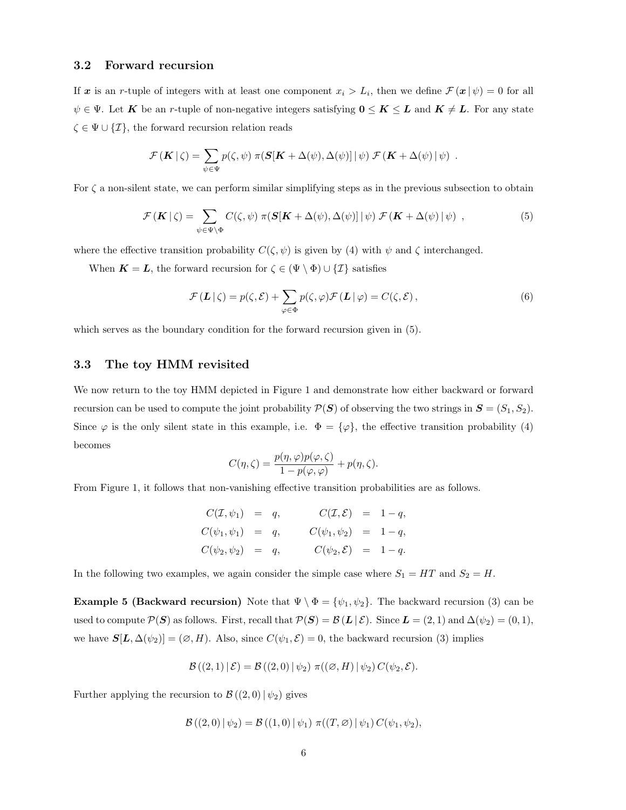### 3.2 Forward recursion

If x is an r-tuple of integers with at least one component  $x_i > L_i$ , then we define  $\mathcal{F}(\bm{x} | \psi) = 0$  for all  $\psi \in \Psi$ . Let K be an r-tuple of non-negative integers satisfying  $0 \leq K \leq L$  and  $K \neq L$ . For any state  $\zeta \in \Psi \cup \{\mathcal{I}\}\$ , the forward recursion relation reads

$$
\mathcal{F}(\mathbf{K} \mid \zeta) = \sum_{\psi \in \Psi} p(\zeta, \psi) \pi(\mathbf{S}[\mathbf{K} + \Delta(\psi), \Delta(\psi)] \mid \psi) \mathcal{F}(\mathbf{K} + \Delta(\psi) \mid \psi) .
$$

For  $\zeta$  a non-silent state, we can perform similar simplifying steps as in the previous subsection to obtain

$$
\mathcal{F}(\mathbf{K} \mid \zeta) = \sum_{\psi \in \Psi \backslash \Phi} C(\zeta, \psi) \pi(\mathbf{S}[\mathbf{K} + \Delta(\psi), \Delta(\psi)] \mid \psi) \mathcal{F}(\mathbf{K} + \Delta(\psi) \mid \psi) , \qquad (5)
$$

where the effective transition probability  $C(\zeta, \psi)$  is given by (4) with  $\psi$  and  $\zeta$  interchanged.

When  $K = L$ , the forward recursion for  $\zeta \in (\Psi \setminus \Phi) \cup \{\mathcal{I}\}\$  satisfies

$$
\mathcal{F}(\mathbf{L} \mid \zeta) = p(\zeta, \mathcal{E}) + \sum_{\varphi \in \Phi} p(\zeta, \varphi) \mathcal{F}(\mathbf{L} \mid \varphi) = C(\zeta, \mathcal{E}), \tag{6}
$$

which serves as the boundary condition for the forward recursion given in (5).

### 3.3 The toy HMM revisited

We now return to the toy HMM depicted in Figure 1 and demonstrate how either backward or forward recursion can be used to compute the joint probability  $\mathcal{P}(\mathbf{S})$  of observing the two strings in  $\mathbf{S} = (S_1, S_2)$ . Since  $\varphi$  is the only silent state in this example, i.e.  $\Phi = {\varphi}$ , the effective transition probability (4) becomes

$$
C(\eta,\zeta) = \frac{p(\eta,\varphi)p(\varphi,\zeta)}{1-p(\varphi,\varphi)} + p(\eta,\zeta).
$$

From Figure 1, it follows that non-vanishing effective transition probabilities are as follows.

$$
C(\mathcal{I}, \psi_1) = q, \t C(\mathcal{I}, \mathcal{E}) = 1 - q, C(\psi_1, \psi_1) = q, \t C(\psi_1, \psi_2) = 1 - q, C(\psi_2, \psi_2) = q, \t C(\psi_2, \mathcal{E}) = 1 - q.
$$

In the following two examples, we again consider the simple case where  $S_1 = HT$  and  $S_2 = H$ .

**Example 5 (Backward recursion)** Note that  $\Psi \setminus \Phi = {\psi_1, \psi_2}$ . The backward recursion (3) can be used to compute  $\mathcal{P}(\mathbf{S})$  as follows. First, recall that  $\mathcal{P}(\mathbf{S}) = \mathcal{B}(\mathbf{L} \mid \mathcal{E})$ . Since  $\mathbf{L} = (2, 1)$  and  $\Delta(\psi_2) = (0, 1)$ , we have  $S[L, \Delta(\psi_2)] = (\emptyset, H)$ . Also, since  $C(\psi_1, \mathcal{E}) = 0$ , the backward recursion (3) implies

$$
\mathcal{B}((2,1)\,|\,\mathcal{E}) = \mathcal{B}((2,0)\,|\,\psi_2)\,\,\pi((\varnothing,H)\,|\,\psi_2)\,C(\psi_2,\mathcal{E}).
$$

Further applying the recursion to  $\mathcal{B}((2,0) | \psi_2)$  gives

$$
\mathcal{B}((2,0) | \psi_2) = \mathcal{B}((1,0) | \psi_1) \pi((T,\varnothing) | \psi_1) C(\psi_1,\psi_2),
$$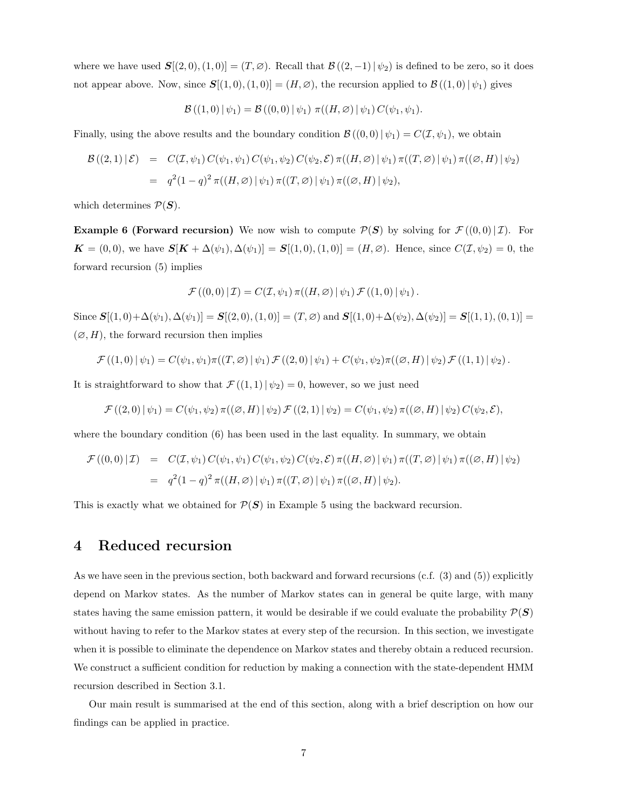where we have used  $\mathbf{S}[(2,0), (1,0)] = (T,\emptyset)$ . Recall that  $\mathcal{B}((2,-1)|\psi_2)$  is defined to be zero, so it does not appear above. Now, since  $S[(1,0),(1,0)] = (H,\emptyset)$ , the recursion applied to  $\mathcal{B}((1,0)|\psi_1)$  gives

$$
\mathcal{B}((1,0) | \psi_1) = \mathcal{B}((0,0) | \psi_1) \pi((H,\varnothing) | \psi_1) C(\psi_1,\psi_1).
$$

Finally, using the above results and the boundary condition  $\mathcal{B}((0,0)|\psi_1) = C(\mathcal{I}, \psi_1)$ , we obtain

$$
\mathcal{B}((2,1)|\mathcal{E}) = C(\mathcal{I}, \psi_1) C(\psi_1, \psi_1) C(\psi_1, \psi_2) C(\psi_2, \mathcal{E}) \pi((H, \varnothing) | \psi_1) \pi((T, \varnothing) | \psi_1) \pi((\varnothing, H) | \psi_2)
$$
  
=  $q^2(1-q)^2 \pi((H, \varnothing) | \psi_1) \pi((T, \varnothing) | \psi_1) \pi((\varnothing, H) | \psi_2),$ 

which determines  $P(S)$ .

**Example 6 (Forward recursion)** We now wish to compute  $\mathcal{P}(S)$  by solving for  $\mathcal{F}((0,0)|\mathcal{I})$ . For  $\mathbf{K} = (0,0)$ , we have  $\mathbf{S}[\mathbf{K} + \Delta(\psi_1), \Delta(\psi_1)] = \mathbf{S}[(1,0), (1,0)] = (H, \varnothing)$ . Hence, since  $C(\mathcal{I}, \psi_2) = 0$ , the forward recursion (5) implies

$$
\mathcal{F}((0,0)\,|\,\mathcal{I})=C(\mathcal{I},\psi_1)\,\pi((H,\varnothing)\,|\,\psi_1)\,\mathcal{F}((1,0)\,|\,\psi_1)\,.
$$

Since  $S[(1,0)+\Delta(\psi_1), \Delta(\psi_1)] = S[(2,0), (1,0)] = (T,\emptyset)$  and  $S[(1,0)+\Delta(\psi_2), \Delta(\psi_2)] = S[(1,1), (0,1)] = (T,\emptyset)$  $(\emptyset, H)$ , the forward recursion then implies

$$
\mathcal{F}((1,0) | \psi_1) = C(\psi_1, \psi_1)\pi((T,\varnothing) | \psi_1) \mathcal{F}((2,0) | \psi_1) + C(\psi_1, \psi_2)\pi((\varnothing, H) | \psi_2) \mathcal{F}((1,1) | \psi_2).
$$

It is straightforward to show that  $\mathcal{F}((1,1)|\psi_2) = 0$ , however, so we just need

$$
\mathcal{F}((2,0) | \psi_1) = C(\psi_1, \psi_2) \pi((\emptyset, H) | \psi_2) \mathcal{F}((2,1) | \psi_2) = C(\psi_1, \psi_2) \pi((\emptyset, H) | \psi_2) C(\psi_2, \mathcal{E}),
$$

where the boundary condition (6) has been used in the last equality. In summary, we obtain

$$
\mathcal{F}((0,0)\,|\,\mathcal{I}) = C(\mathcal{I},\psi_1) \, C(\psi_1,\psi_1) \, C(\psi_1,\psi_2) \, C(\psi_2,\mathcal{E}) \, \pi((H,\varnothing)\,|\,\psi_1) \, \pi((T,\varnothing)\,|\,\psi_1) \, \pi((\varnothing,H)\,|\,\psi_2) \n= q^2(1-q)^2 \, \pi((H,\varnothing)\,|\,\psi_1) \, \pi((T,\varnothing)\,|\,\psi_1) \, \pi((\varnothing,H)\,|\,\psi_2).
$$

This is exactly what we obtained for  $\mathcal{P}(S)$  in Example 5 using the backward recursion.

# 4 Reduced recursion

As we have seen in the previous section, both backward and forward recursions (c.f. (3) and (5)) explicitly depend on Markov states. As the number of Markov states can in general be quite large, with many states having the same emission pattern, it would be desirable if we could evaluate the probability  $\mathcal{P}(\mathbf{S})$ without having to refer to the Markov states at every step of the recursion. In this section, we investigate when it is possible to eliminate the dependence on Markov states and thereby obtain a reduced recursion. We construct a sufficient condition for reduction by making a connection with the state-dependent HMM recursion described in Section 3.1.

Our main result is summarised at the end of this section, along with a brief description on how our findings can be applied in practice.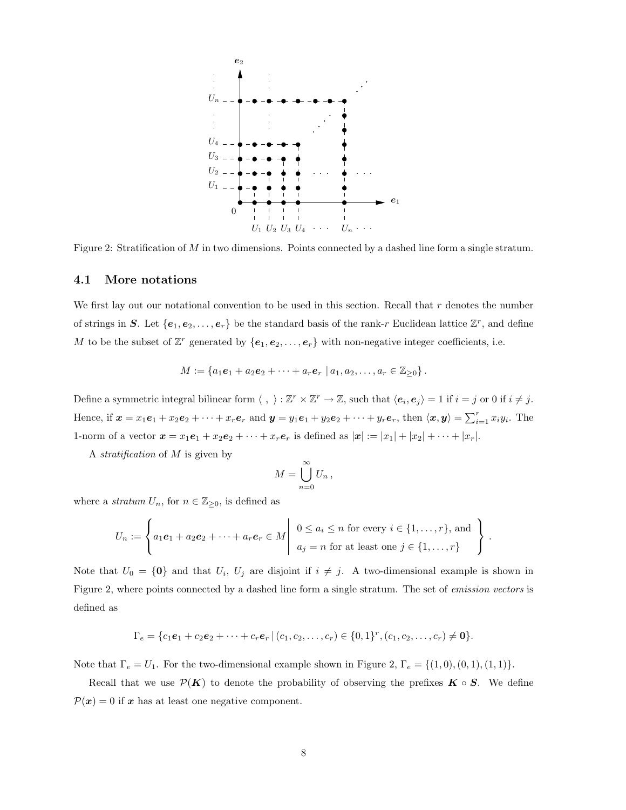

Figure 2: Stratification of M in two dimensions. Points connected by a dashed line form a single stratum.

#### 4.1 More notations

We first lay out our notational convention to be used in this section. Recall that r denotes the number of strings in S. Let  $\{e_1, e_2, \ldots, e_r\}$  be the standard basis of the rank-r Euclidean lattice  $\mathbb{Z}^r$ , and define M to be the subset of  $\mathbb{Z}^r$  generated by  $\{e_1, e_2, \ldots, e_r\}$  with non-negative integer coefficients, i.e.

$$
M := \{a_1e_1 + a_2e_2 + \cdots + a_re_r \mid a_1, a_2, \ldots, a_r \in \mathbb{Z}_{\geq 0}\}.
$$

Define a symmetric integral bilinear form  $\langle , \rangle : \mathbb{Z}^r \times \mathbb{Z}^r \to \mathbb{Z}$ , such that  $\langle e_i, e_j \rangle = 1$  if  $i = j$  or 0 if  $i \neq j$ . Hence, if  $\mathbf{x} = x_1 \mathbf{e}_1 + x_2 \mathbf{e}_2 + \cdots + x_r \mathbf{e}_r$  and  $\mathbf{y} = y_1 \mathbf{e}_1 + y_2 \mathbf{e}_2 + \cdots + y_r \mathbf{e}_r$ , then  $\langle \mathbf{x}, \mathbf{y} \rangle = \sum_{i=1}^r x_i y_i$ . The 1-norm of a vector  $x = x_1e_1 + x_2e_2 + \cdots + x_re_r$  is defined as  $|x| := |x_1| + |x_2| + \cdots + |x_r|$ .

A stratification of  $M$  is given by

$$
M=\bigcup_{n=0}^{\infty}U_n,
$$

where a *stratum*  $U_n$ , for  $n \in \mathbb{Z}_{\geq 0}$ , is defined as

$$
U_n := \left\{ a_1e_1 + a_2e_2 + \cdots + a_re_r \in M \middle| \begin{array}{c} 0 \leq a_i \leq n \text{ for every } i \in \{1, \ldots, r\}, \text{ and} \\ a_j = n \text{ for at least one } j \in \{1, \ldots, r\} \end{array} \right\}.
$$

Note that  $U_0 = \{0\}$  and that  $U_i$ ,  $U_j$  are disjoint if  $i \neq j$ . A two-dimensional example is shown in Figure 2, where points connected by a dashed line form a single stratum. The set of emission vectors is defined as

$$
\Gamma_e = \{c_1e_1 + c_2e_2 + \cdots + c_re_r \mid (c_1, c_2, \ldots, c_r) \in \{0, 1\}^r, (c_1, c_2, \ldots, c_r) \neq \mathbf{0}\}.
$$

Note that  $\Gamma_e = U_1$ . For the two-dimensional example shown in Figure 2,  $\Gamma_e = \{(1,0), (0,1), (1,1)\}.$ 

Recall that we use  $\mathcal{P}(K)$  to denote the probability of observing the prefixes  $K \circ S$ . We define  $P(x) = 0$  if x has at least one negative component.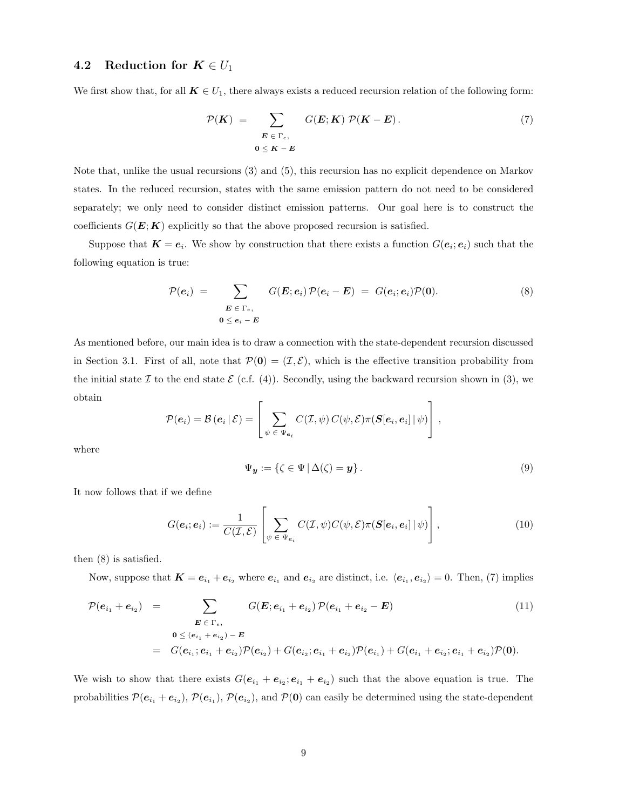## 4.2 Reduction for  $K \in U_1$

We first show that, for all  $K \in U_1$ , there always exists a reduced recursion relation of the following form:

$$
\mathcal{P}(K) = \sum_{\substack{E \in \Gamma_e, \\ 0 \le K - E}} G(E; K) \mathcal{P}(K - E).
$$
\n(7)

Note that, unlike the usual recursions (3) and (5), this recursion has no explicit dependence on Markov states. In the reduced recursion, states with the same emission pattern do not need to be considered separately; we only need to consider distinct emission patterns. Our goal here is to construct the coefficients  $G(E; K)$  explicitly so that the above proposed recursion is satisfied.

Suppose that  $K = e_i$ . We show by construction that there exists a function  $G(e_i; e_i)$  such that the following equation is true:

$$
\mathcal{P}(e_i) = \sum_{\substack{\boldsymbol{E} \in \Gamma_{e}, \\ \boldsymbol{0} \leq e_i - \boldsymbol{E}}} G(\boldsymbol{E}; e_i) \mathcal{P}(e_i - \boldsymbol{E}) = G(e_i; e_i) \mathcal{P}(\boldsymbol{0}). \tag{8}
$$

As mentioned before, our main idea is to draw a connection with the state-dependent recursion discussed in Section 3.1. First of all, note that  $\mathcal{P}(\mathbf{0}) = (\mathcal{I}, \mathcal{E})$ , which is the effective transition probability from the initial state I to the end state  $\mathcal{E}$  (c.f. (4)). Secondly, using the backward recursion shown in (3), we obtain

$$
\mathcal{P}(\boldsymbol{e}_i) = \mathcal{B}(\boldsymbol{e}_i | \mathcal{E}) = \left[ \sum_{\psi \in \Psi_{\boldsymbol{e}_i}} C(\mathcal{I}, \psi) C(\psi, \mathcal{E}) \pi(\boldsymbol{S}[\boldsymbol{e}_i, \boldsymbol{e}_i] | \psi) \right],
$$

where

$$
\Psi_{\mathbf{y}} := \{ \zeta \in \Psi \, | \, \Delta(\zeta) = \mathbf{y} \} \, . \tag{9}
$$

It now follows that if we define

$$
G(\boldsymbol{e}_i; \boldsymbol{e}_i) := \frac{1}{C(\mathcal{I}, \mathcal{E})} \left[ \sum_{\psi \in \Psi_{\boldsymbol{e}_i}} C(\mathcal{I}, \psi) C(\psi, \mathcal{E}) \pi(\boldsymbol{S}[\boldsymbol{e}_i, \boldsymbol{e}_i] | \psi) \right],
$$
(10)

then (8) is satisfied.

Now, suppose that  $K = e_{i_1} + e_{i_2}$  where  $e_{i_1}$  and  $e_{i_2}$  are distinct, i.e.  $\langle e_{i_1}, e_{i_2} \rangle = 0$ . Then, (7) implies

$$
\mathcal{P}(e_{i_1} + e_{i_2}) = \sum_{\substack{\mathbf{E} \in \Gamma_e, \\ \mathbf{0} \leq (e_{i_1} + e_{i_2}) - \mathbf{E}}} G(\mathbf{E}; e_{i_1} + e_{i_2}) \mathcal{P}(e_{i_1} + e_{i_2} - \mathbf{E})
$$
(11)  

$$
= G(e_{i_1}; e_{i_1} + e_{i_2}) \mathcal{P}(e_{i_2}) + G(e_{i_2}; e_{i_1} + e_{i_2}) \mathcal{P}(e_{i_1}) + G(e_{i_1} + e_{i_2}; e_{i_1} + e_{i_2}) \mathcal{P}(\mathbf{0}).
$$

We wish to show that there exists  $G(e_{i_1} + e_{i_2}; e_{i_1} + e_{i_2})$  such that the above equation is true. The probabilities  $\mathcal{P}(e_{i_1}+e_{i_2}), \mathcal{P}(e_{i_1}), \mathcal{P}(e_{i_2}),$  and  $\mathcal{P}(0)$  can easily be determined using the state-dependent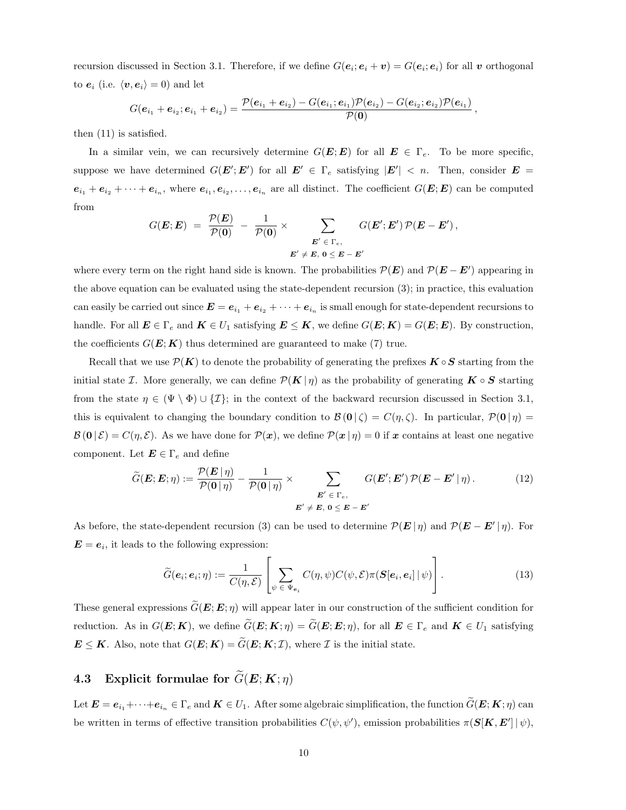recursion discussed in Section 3.1. Therefore, if we define  $G(e_i; e_i + v) = G(e_i; e_i)$  for all v orthogonal to  $e_i$  (i.e.  $\langle v, e_i \rangle = 0$ ) and let

$$
G(\boldsymbol{e}_{i_1}+\boldsymbol{e}_{i_2};\boldsymbol{e}_{i_1}+\boldsymbol{e}_{i_2})=\frac{\mathcal{P}(\boldsymbol{e}_{i_1}+\boldsymbol{e}_{i_2})-G(\boldsymbol{e}_{i_1};\boldsymbol{e}_{i_1})\mathcal{P}(\boldsymbol{e}_{i_2})-G(\boldsymbol{e}_{i_2};\boldsymbol{e}_{i_2})\mathcal{P}(\boldsymbol{e}_{i_1})}{\mathcal{P}(\boldsymbol{0})}\,,
$$

then (11) is satisfied.

In a similar vein, we can recursively determine  $G(E; E)$  for all  $E \in \Gamma_e$ . To be more specific, suppose we have determined  $G(E'; E')$  for all  $E' \in \Gamma_e$  satisfying  $|E'| < n$ . Then, consider  $E =$  $e_{i_1}+e_{i_2}+\cdots+e_{i_n}$ , where  $e_{i_1},e_{i_2},\ldots,e_{i_n}$  are all distinct. The coefficient  $G(E; E)$  can be computed from

$$
G(\boldsymbol{E};\boldsymbol{E})\;=\;\frac{\mathcal{P}(\boldsymbol{E})}{\mathcal{P}(\boldsymbol{0})}\;-\;\frac{1}{\mathcal{P}(\boldsymbol{0})}\;\times\; \sum_{\substack{\boldsymbol{E}'\;\in\;\Gamma_{e},\\ \boldsymbol{E}'\;\neq\;\boldsymbol{E},\; \boldsymbol{0}\;\leq\;\boldsymbol{E}\;-\;\boldsymbol{E}'}}\;G(\boldsymbol{E}';\boldsymbol{E}')\,\mathcal{P}(\boldsymbol{E}-\boldsymbol{E}')\,,
$$

where every term on the right hand side is known. The probabilities  $P(E)$  and  $P(E - E')$  appearing in the above equation can be evaluated using the state-dependent recursion (3); in practice, this evaluation can easily be carried out since  $E = e_{i_1} + e_{i_2} + \cdots + e_{i_n}$  is small enough for state-dependent recursions to handle. For all  $E \in \Gamma_e$  and  $K \in U_1$  satisfying  $E \leq K$ , we define  $G(E; K) = G(E; E)$ . By construction, the coefficients  $G(E; K)$  thus determined are guaranteed to make (7) true.

Recall that we use  $\mathcal{P}(K)$  to denote the probability of generating the prefixes  $K \circ S$  starting from the initial state I. More generally, we can define  $\mathcal{P}(K|\eta)$  as the probability of generating  $K \circ S$  starting from the state  $\eta \in (\Psi \setminus \Phi) \cup \{\mathcal{I}\};$  in the context of the backward recursion discussed in Section 3.1, this is equivalent to changing the boundary condition to  $\mathcal{B}(\mathbf{0}|\zeta) = C(\eta,\zeta)$ . In particular,  $\mathcal{P}(\mathbf{0}|\eta) =$  $\mathcal{B}(\mathbf{0} \mid \mathcal{E}) = C(\eta, \mathcal{E})$ . As we have done for  $\mathcal{P}(\mathbf{x})$ , we define  $\mathcal{P}(\mathbf{x} \mid \eta) = 0$  if x contains at least one negative component. Let  $\mathbf{E} \in \Gamma_e$  and define

$$
\widetilde{G}(\mathbf{E}; \mathbf{E}; \eta) := \frac{\mathcal{P}(\mathbf{E} \mid \eta)}{\mathcal{P}(\mathbf{0} \mid \eta)} - \frac{1}{\mathcal{P}(\mathbf{0} \mid \eta)} \times \sum_{\mathbf{E'} \in \Gamma_e, \mathbf{E'} \in \mathcal{E} \in \mathcal{E} \setminus \mathbf{E'}} G(\mathbf{E'}; \mathbf{E'}) \mathcal{P}(\mathbf{E} - \mathbf{E'} \mid \eta).
$$
\n(12)

As before, the state-dependent recursion (3) can be used to determine  $\mathcal{P}(E|\eta)$  and  $\mathcal{P}(E - E'|\eta)$ . For  $\mathbf{E} = \mathbf{e}_i$ , it leads to the following expression:

$$
\widetilde{G}(\boldsymbol{e}_i;\boldsymbol{e}_i;\eta) := \frac{1}{C(\eta,\mathcal{E})} \left[ \sum_{\psi \in \Psi_{\boldsymbol{e}_i}} C(\eta,\psi) C(\psi,\mathcal{E}) \pi(\boldsymbol{S}[\boldsymbol{e}_i,\boldsymbol{e}_i] | \psi) \right]. \tag{13}
$$

These general expressions  $\tilde{G}(E; E; \eta)$  will appear later in our construction of the sufficient condition for reduction. As in  $G(E; K)$ , we define  $\widetilde{G}(E; K; \eta) = \widetilde{G}(E; E; \eta)$ , for all  $E \in \Gamma_e$  and  $K \in U_1$  satisfying  $\mathbf{E} \leq \mathbf{K}$ . Also, note that  $G(\mathbf{E}; \mathbf{K}) = \widetilde{G}(\mathbf{E}; \mathbf{K}; \mathcal{I})$ , where  $\mathcal{I}$  is the initial state.

# 4.3 Explicit formulae for  $\widetilde{G}(\mathbf{E};\mathbf{K};\eta)$

Let  $\mathbf{E} = e_{i_1} + \cdots + e_{i_n} \in \Gamma_e$  and  $\mathbf{K} \in U_1$ . After some algebraic simplification, the function  $\widetilde{G}(\mathbf{E}; \mathbf{K}; \eta)$  can be written in terms of effective transition probabilities  $C(\psi, \psi')$ , emission probabilities  $\pi(S[K, E'] | \psi)$ ,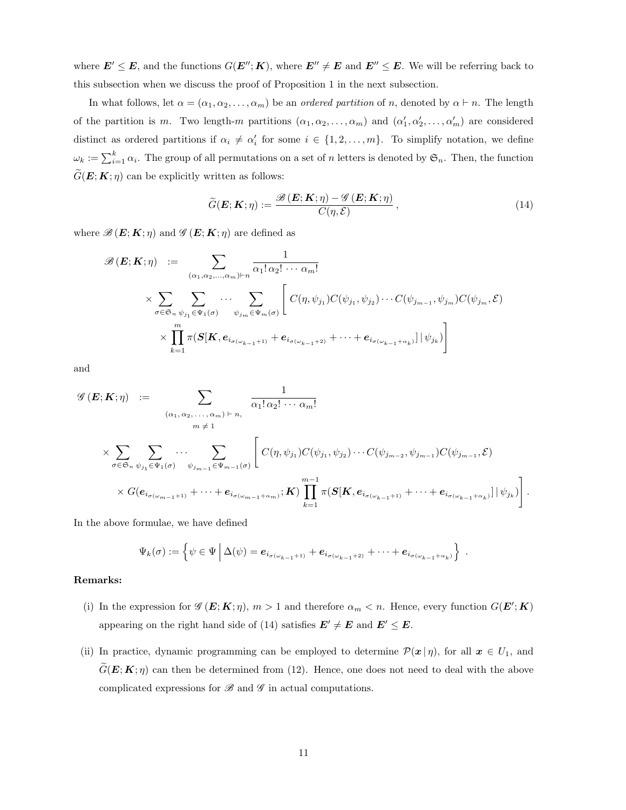where  $E' \leq E$ , and the functions  $G(E''; K)$ , where  $E'' \neq E$  and  $E'' \leq E$ . We will be referring back to this subsection when we discuss the proof of Proposition 1 in the next subsection.

In what follows, let  $\alpha = (\alpha_1, \alpha_2, \dots, \alpha_m)$  be an *ordered partition* of *n*, denoted by  $\alpha \vdash n$ . The length of the partition is m. Two length-m partitions  $(\alpha_1, \alpha_2, \ldots, \alpha_m)$  and  $(\alpha'_1, \alpha'_2, \ldots, \alpha'_m)$  are considered distinct as ordered partitions if  $\alpha_i \neq \alpha'_i$  for some  $i \in \{1, 2, ..., m\}$ . To simplify notation, we define  $\omega_k := \sum_{i=1}^k \alpha_i$ . The group of all permutations on a set of n letters is denoted by  $\mathfrak{S}_n$ . Then, the function  $G(E; K; \eta)$  can be explicitly written as follows:

$$
\widetilde{G}(\boldsymbol{E}; \boldsymbol{K}; \eta) := \frac{\mathcal{B}(\boldsymbol{E}; \boldsymbol{K}; \eta) - \mathcal{G}(\boldsymbol{E}; \boldsymbol{K}; \eta)}{C(\eta, \mathcal{E})},
$$
\n(14)

where  $\mathscr{B}(E; K; \eta)$  and  $\mathscr{G}(E; K; \eta)$  are defined as

$$
\mathscr{B}(\mathbf{E}; \mathbf{K}; \eta) := \sum_{(\alpha_1, \alpha_2, \dots, \alpha_m) \vdash n} \frac{1}{\alpha_1! \alpha_2! \cdots \alpha_m!} \times \sum_{\sigma \in \mathfrak{S}_n} \sum_{\psi_{j_1} \in \Psi_1(\sigma)} \cdots \sum_{\psi_{j_m} \in \Psi_m(\sigma)} \left[ C(\eta, \psi_{j_1}) C(\psi_{j_1}, \psi_{j_2}) \cdots C(\psi_{j_{m-1}}, \psi_{j_m}) C(\psi_{j_m}, \mathcal{E}) \times \prod_{k=1}^m \pi(\mathbf{S}[\mathbf{K}, \mathbf{e}_{i_{\sigma(\omega_{k-1}+1)}} + \mathbf{e}_{i_{\sigma(\omega_{k-1}+2)}} + \cdots + \mathbf{e}_{i_{\sigma(\omega_{k-1}+\alpha_k)}}] | \psi_{j_k}) \right]
$$

and

$$
\mathscr{G}(\mathbf{E}; \mathbf{K}; \eta) := \sum_{\substack{(\alpha_1, \alpha_2, \dots, \alpha_m) \vdash n, \\ m \neq 1}} \frac{1}{\alpha_1! \alpha_2! \cdots \alpha_m!}
$$
  

$$
\times \sum_{\sigma \in \mathfrak{S}_n} \sum_{\psi_{j_1} \in \Psi_1(\sigma)} \cdots \sum_{\psi_{j_{m-1}} \in \Psi_{m-1}(\sigma)} \left[ C(\eta, \psi_{j_1}) C(\psi_{j_1}, \psi_{j_2}) \cdots C(\psi_{j_{m-2}}, \psi_{j_{m-1}}) C(\psi_{j_{m-1}}, \mathcal{E}) \right]
$$
  

$$
\times G(\mathbf{e}_{i_{\sigma(\omega_{m-1}+1)}} + \cdots + \mathbf{e}_{i_{\sigma(\omega_{m-1}+\alpha_m)}}; \mathbf{K}) \prod_{k=1}^{m-1} \pi(\mathbf{S}[\mathbf{K}, \mathbf{e}_{i_{\sigma(\omega_{k-1}+1)}} + \cdots + \mathbf{e}_{i_{\sigma(\omega_{k-1}+\alpha_k)}}] | \psi_{j_k}) \right].
$$

In the above formulae, we have defined

$$
\Psi_k(\sigma) := \left\{ \psi \in \Psi \, \Big| \, \Delta(\psi) = e_{i_{\sigma(\omega_{k-1}+1)}} + e_{i_{\sigma(\omega_{k-1}+2)}} + \cdots + e_{i_{\sigma(\omega_{k-1}+\alpha_k)}} \right\} \; .
$$

#### Remarks:

- (i) In the expression for  $\mathscr{G}(\mathbf{E}; \mathbf{K}; \eta)$ ,  $m > 1$  and therefore  $\alpha_m < n$ . Hence, every function  $G(\mathbf{E}'; \mathbf{K})$ appearing on the right hand side of (14) satisfies  $E' \neq E$  and  $E' \leq E$ .
- (ii) In practice, dynamic programming can be employed to determine  $\mathcal{P}(\mathbf{x} | \eta)$ , for all  $\mathbf{x} \in U_1$ , and  $\widetilde{G}(\mathbf{E}; \mathbf{K}; \eta)$  can then be determined from (12). Hence, one does not need to deal with the above complicated expressions for  $\mathscr B$  and  $\mathscr G$  in actual computations.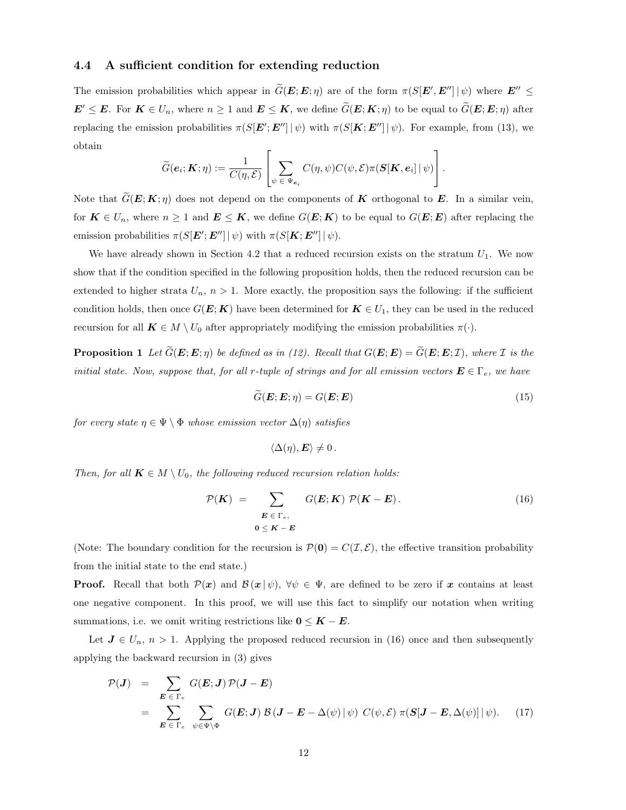## 4.4 A sufficient condition for extending reduction

The emission probabilities which appear in  $\tilde{G}(E; E; \eta)$  are of the form  $\pi(S[E', E''] | \psi)$  where  $E'' \leq$  $\mathbf{E}' \leq \mathbf{E}$ . For  $\mathbf{K} \in U_n$ , where  $n \geq 1$  and  $\mathbf{E} \leq \mathbf{K}$ , we define  $\widetilde{G}(\mathbf{E}; \mathbf{K}; \eta)$  to be equal to  $\widetilde{G}(\mathbf{E}; \mathbf{E}; \eta)$  after replacing the emission probabilities  $\pi(S[\boldsymbol{E}'; \boldsymbol{E}''] | \psi)$  with  $\pi(S[\boldsymbol{K}; \boldsymbol{E}''] | \psi)$ . For example, from (13), we obtain

$$
\widetilde{G}(\boldsymbol{e}_i;\boldsymbol{K};\eta):=\frac{1}{C(\eta,\mathcal{E})}\left[\sum_{\psi\,\in\,\Psi_{\boldsymbol{e}_i}}C(\eta,\psi)C(\psi,\mathcal{E})\pi(\boldsymbol{S}[\boldsymbol{K},\boldsymbol{e}_i]\,|\,\psi)\right].
$$

Note that  $\tilde{G}(E; K; \eta)$  does not depend on the components of K orthogonal to E. In a similar vein, for  $K \in U_n$ , where  $n \geq 1$  and  $E \leq K$ , we define  $G(E; K)$  to be equal to  $G(E; E)$  after replacing the emission probabilities  $\pi(S[\boldsymbol{E}'; \boldsymbol{E}''] | \psi)$  with  $\pi(S[\boldsymbol{K}; \boldsymbol{E}''] | \psi)$ .

We have already shown in Section 4.2 that a reduced recursion exists on the stratum  $U_1$ . We now show that if the condition specified in the following proposition holds, then the reduced recursion can be extended to higher strata  $U_n$ ,  $n > 1$ . More exactly, the proposition says the following: if the sufficient condition holds, then once  $G(E; K)$  have been determined for  $K \in U_1$ , they can be used in the reduced recursion for all  $\mathbf{K} \in M \setminus U_0$  after appropriately modifying the emission probabilities  $\pi(\cdot)$ .

**Proposition 1** Let  $\widetilde{G}(\mathbf{E}; \mathbf{E}; \eta)$  be defined as in (12). Recall that  $G(\mathbf{E}; \mathbf{E}) = \widetilde{G}(\mathbf{E}; \mathbf{E}; \mathcal{I})$ , where  $\mathcal I$  is the initial state. Now, suppose that, for all r-tuple of strings and for all emission vectors  $\mathbf{E} \in \Gamma_e$ , we have

$$
\widetilde{G}(\boldsymbol{E}; \boldsymbol{E}; \eta) = G(\boldsymbol{E}; \boldsymbol{E}) \tag{15}
$$

for every state  $\eta \in \Psi \setminus \Phi$  whose emission vector  $\Delta(\eta)$  satisfies

$$
\langle \Delta(\eta), \mathbf{E} \rangle \neq 0.
$$

Then, for all  $K \in M \setminus U_0$ , the following reduced recursion relation holds:

$$
\mathcal{P}(K) = \sum_{\substack{E \in \Gamma_e, \\ 0 \le K - E}} G(E; K) \mathcal{P}(K - E).
$$
\n(16)

(Note: The boundary condition for the recursion is  $\mathcal{P}(0) = C(\mathcal{I}, \mathcal{E})$ , the effective transition probability from the initial state to the end state.)

**Proof.** Recall that both  $\mathcal{P}(x)$  and  $\mathcal{B}(x|\psi)$ ,  $\forall \psi \in \Psi$ , are defined to be zero if x contains at least one negative component. In this proof, we will use this fact to simplify our notation when writing summations, i.e. we omit writing restrictions like  $0 \leq K - E$ .

Let  $J \in U_n$ ,  $n > 1$ . Applying the proposed reduced recursion in (16) once and then subsequently applying the backward recursion in (3) gives

$$
\mathcal{P}(J) = \sum_{\boldsymbol{E} \in \Gamma_e} G(\boldsymbol{E}; \boldsymbol{J}) \mathcal{P}(\boldsymbol{J} - \boldsymbol{E})
$$
  
= 
$$
\sum_{\boldsymbol{E} \in \Gamma_e} \sum_{\psi \in \Psi \backslash \Phi} G(\boldsymbol{E}; \boldsymbol{J}) \mathcal{B}(\boldsymbol{J} - \boldsymbol{E} - \Delta(\psi) | \psi) C(\psi, \mathcal{E}) \pi(\boldsymbol{S}[\boldsymbol{J} - \boldsymbol{E}, \Delta(\psi)] | \psi).
$$
 (17)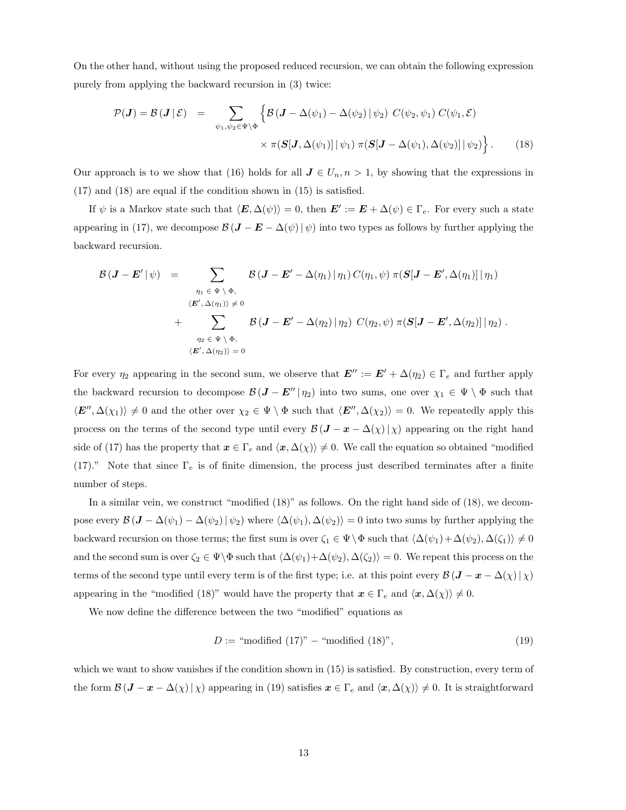On the other hand, without using the proposed reduced recursion, we can obtain the following expression purely from applying the backward recursion in (3) twice:

$$
\mathcal{P}(\boldsymbol{J}) = \mathcal{B}(\boldsymbol{J} | \mathcal{E}) = \sum_{\psi_1, \psi_2 \in \Psi \backslash \Phi} \left\{ \mathcal{B}(\boldsymbol{J} - \Delta(\psi_1) - \Delta(\psi_2) | \psi_2) \ C(\psi_2, \psi_1) \ C(\psi_1, \mathcal{E}) \right.\n\times \pi(\mathbf{S}[\mathbf{J}, \Delta(\psi_1)] | \psi_1) \ \pi(\mathbf{S}[\mathbf{J} - \Delta(\psi_1), \Delta(\psi_2)] | \psi_2) \right\}.
$$
\n(18)

Our approach is to we show that (16) holds for all  $J \in U_n, n > 1$ , by showing that the expressions in (17) and (18) are equal if the condition shown in (15) is satisfied.

If  $\psi$  is a Markov state such that  $\langle E, \Delta(\psi) \rangle = 0$ , then  $E' := E + \Delta(\psi) \in \Gamma_e$ . For every such a state appearing in (17), we decompose  $\mathcal{B} (\mathbf{J} - \mathbf{E} - \Delta(\psi) | \psi)$  into two types as follows by further applying the backward recursion.

$$
\mathcal{B}(\boldsymbol{J}-\boldsymbol{E}'\mid\psi) = \sum_{\substack{\eta_1 \in \Psi \setminus \Phi, \\ \langle \boldsymbol{E}', \Delta(\eta_1) \rangle \neq 0}} \mathcal{B}(\boldsymbol{J}-\boldsymbol{E}' - \Delta(\eta_1)\mid\eta_1) C(\eta_1,\psi) \pi(\boldsymbol{S}[\boldsymbol{J}-\boldsymbol{E}', \Delta(\eta_1)]\mid\eta_1)
$$
  
+ 
$$
\sum_{\eta_2 \in \Psi \setminus \Phi, \\ \langle \boldsymbol{E}', \Delta(\eta_2) \rangle = 0} \mathcal{B}(\boldsymbol{J}-\boldsymbol{E}' - \Delta(\eta_2)\mid\eta_2) C(\eta_2,\psi) \pi(\boldsymbol{S}[\boldsymbol{J}-\boldsymbol{E}', \Delta(\eta_2)]\mid\eta_2).
$$

For every  $\eta_2$  appearing in the second sum, we observe that  $E'' := E' + \Delta(\eta_2) \in \Gamma_e$  and further apply the backward recursion to decompose  $\mathcal{B} (\mathbf{J} - \mathbf{E}'' | \eta_2)$  into two sums, one over  $\chi_1 \in \Psi \setminus \Phi$  such that  $\langle E'', \Delta(\chi_1) \rangle \neq 0$  and the other over  $\chi_2 \in \Psi \setminus \Phi$  such that  $\langle E'', \Delta(\chi_2) \rangle = 0$ . We repeatedly apply this process on the terms of the second type until every  $\mathcal{B} (J - x - \Delta(\chi) | \chi)$  appearing on the right hand side of (17) has the property that  $x \in \Gamma_e$  and  $\langle x, \Delta(\chi) \rangle \neq 0$ . We call the equation so obtained "modified" (17)." Note that since  $\Gamma_e$  is of finite dimension, the process just described terminates after a finite number of steps.

In a similar vein, we construct "modified (18)" as follows. On the right hand side of (18), we decompose every  $\mathcal{B} (\mathbf{J} - \Delta(\psi_1) - \Delta(\psi_2) | \psi_2)$  where  $\langle \Delta(\psi_1), \Delta(\psi_2) \rangle = 0$  into two sums by further applying the backward recursion on those terms; the first sum is over  $\zeta_1 \in \Psi \setminus \Phi$  such that  $\langle \Delta(\psi_1) + \Delta(\psi_2), \Delta(\zeta_1) \rangle \neq 0$ and the second sum is over  $\zeta_2 \in \Psi \backslash \Phi$  such that  $\langle \Delta(\psi_1) + \Delta(\psi_2), \Delta(\zeta_2) \rangle = 0$ . We repeat this process on the terms of the second type until every term is of the first type; i.e. at this point every  $\mathcal{B} (J - x - \Delta(\chi) | \chi)$ appearing in the "modified (18)" would have the property that  $x \in \Gamma_e$  and  $\langle x, \Delta(\chi) \rangle \neq 0$ .

We now define the difference between the two "modified" equations as

$$
D := "modified (17)" - "modified (18)", \qquad (19)
$$

which we want to show vanishes if the condition shown in  $(15)$  is satisfied. By construction, every term of the form  $\mathcal{B} (\mathbf{J} - \mathbf{x} - \Delta(\chi) | \chi)$  appearing in (19) satisfies  $\mathbf{x} \in \Gamma_e$  and  $\langle \mathbf{x}, \Delta(\chi) \rangle \neq 0$ . It is straightforward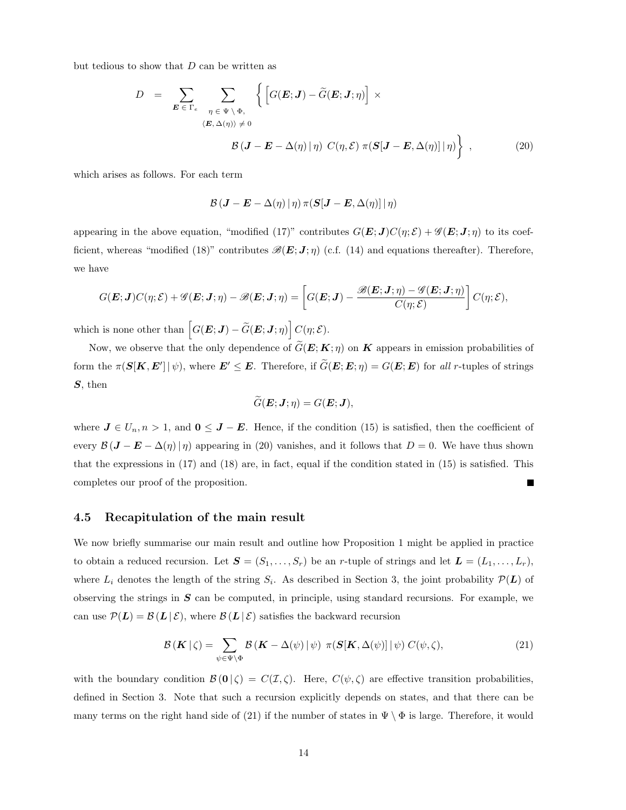but tedious to show that  $D$  can be written as

$$
D = \sum_{\boldsymbol{E} \in \Gamma_e} \sum_{\eta \in \Psi \setminus \Phi, \atop \langle \boldsymbol{E}, \Delta(\eta) \rangle \neq 0} \left\{ \left[ G(\boldsymbol{E}; \boldsymbol{J}) - \widetilde{G}(\boldsymbol{E}; \boldsymbol{J}; \eta) \right] \times \right. \\ \left. \qquad \qquad \beta(\boldsymbol{J} - \boldsymbol{E} - \Delta(\eta) \, | \, \eta) \ C(\eta, \mathcal{E}) \ \pi(\boldsymbol{S}[\boldsymbol{J} - \boldsymbol{E}, \Delta(\eta)] \, | \, \eta) \right\} \ , \tag{20}
$$

which arises as follows. For each term

$$
\mathcal{B}\left(\bm{J}-\bm{E}-\Delta(\eta)\,|\,\eta\right)\pi(\bm{S}[\bm{J}-\bm{E},\Delta(\eta)]\,|\,\eta)
$$

appearing in the above equation, "modified (17)" contributes  $G(E; J)C(\eta; \mathcal{E}) + \mathcal{G}(E; J; \eta)$  to its coefficient, whereas "modified (18)" contributes  $\mathscr{B}(E; J; \eta)$  (c.f. (14) and equations thereafter). Therefore, we have

$$
G(\boldsymbol{E};\boldsymbol{J})C(\eta;\mathcal{E})+\mathscr{G}(\boldsymbol{E};\boldsymbol{J};\eta)-\mathscr{B}(\boldsymbol{E};\boldsymbol{J};\eta)=\left[G(\boldsymbol{E};\boldsymbol{J})-\frac{\mathscr{B}(\boldsymbol{E};\boldsymbol{J};\eta)-\mathscr{G}(\boldsymbol{E};\boldsymbol{J};\eta)}{C(\eta;\mathcal{E})}\right]C(\eta;\mathcal{E}),
$$

which is none other than  $\left[ G(\bm{E};\bm{J}) - \widetilde{G}(\bm{E};\bm{J};\eta) \right] C(\eta;\mathcal{E}).$ 

Now, we observe that the only dependence of  $\tilde{G}(E; K; \eta)$  on K appears in emission probabilities of form the  $\pi(S[K, E'] | \psi)$ , where  $E' \leq E$ . Therefore, if  $\tilde{G}(E; E; \eta) = G(E; E)$  for all r-tuples of strings S, then

$$
\widetilde{G}(\boldsymbol{E};\boldsymbol{J};\eta)=G(\boldsymbol{E};\boldsymbol{J}),
$$

where  $J \in U_n, n > 1$ , and  $0 \leq J - E$ . Hence, if the condition (15) is satisfied, then the coefficient of every  $\mathcal{B} (\mathbf{J} - \mathbf{E} - \Delta(\eta) | \eta)$  appearing in (20) vanishes, and it follows that  $D = 0$ . We have thus shown that the expressions in (17) and (18) are, in fact, equal if the condition stated in (15) is satisfied. This completes our proof of the proposition.

### 4.5 Recapitulation of the main result

We now briefly summarise our main result and outline how Proposition 1 might be applied in practice to obtain a reduced recursion. Let  $S = (S_1, \ldots, S_r)$  be an r-tuple of strings and let  $\boldsymbol{L} = (L_1, \ldots, L_r)$ , where  $L_i$  denotes the length of the string  $S_i$ . As described in Section 3, the joint probability  $\mathcal{P}(L)$  of observing the strings in  $S$  can be computed, in principle, using standard recursions. For example, we can use  $\mathcal{P}(L) = \mathcal{B}(L \mid \mathcal{E})$ , where  $\mathcal{B}(L \mid \mathcal{E})$  satisfies the backward recursion

$$
\mathcal{B}(\mathbf{K} \mid \zeta) = \sum_{\psi \in \Psi \backslash \Phi} \mathcal{B}(\mathbf{K} - \Delta(\psi) \mid \psi) \pi(\mathbf{S}[\mathbf{K}, \Delta(\psi)] \mid \psi) C(\psi, \zeta), \tag{21}
$$

with the boundary condition  $\mathcal{B}(\mathbf{0}|\zeta) = C(\mathcal{I},\zeta)$ . Here,  $C(\psi,\zeta)$  are effective transition probabilities, defined in Section 3. Note that such a recursion explicitly depends on states, and that there can be many terms on the right hand side of (21) if the number of states in  $\Psi \setminus \Phi$  is large. Therefore, it would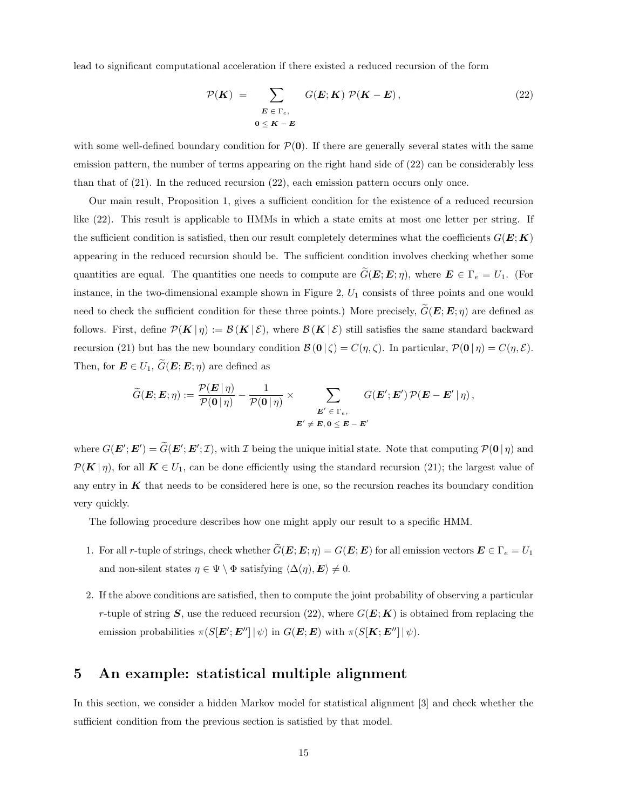lead to significant computational acceleration if there existed a reduced recursion of the form

$$
\mathcal{P}(K) = \sum_{\substack{E \in \Gamma_e, \\ 0 \le K - E}} G(E; K) \mathcal{P}(K - E), \tag{22}
$$

with some well-defined boundary condition for  $\mathcal{P}(\mathbf{0})$ . If there are generally several states with the same emission pattern, the number of terms appearing on the right hand side of (22) can be considerably less than that of (21). In the reduced recursion (22), each emission pattern occurs only once.

Our main result, Proposition 1, gives a sufficient condition for the existence of a reduced recursion like (22). This result is applicable to HMMs in which a state emits at most one letter per string. If the sufficient condition is satisfied, then our result completely determines what the coefficients  $G(E; K)$ appearing in the reduced recursion should be. The sufficient condition involves checking whether some quantities are equal. The quantities one needs to compute are  $\tilde{G}(E; E; \eta)$ , where  $E \in \Gamma_e = U_1$ . (For instance, in the two-dimensional example shown in Figure  $2, U_1$  consists of three points and one would need to check the sufficient condition for these three points.) More precisely,  $\tilde{G}(E; E; \eta)$  are defined as follows. First, define  $\mathcal{P}(K | \eta) := \mathcal{B}(K | \mathcal{E})$ , where  $\mathcal{B}(K | \mathcal{E})$  still satisfies the same standard backward recursion (21) but has the new boundary condition  $\mathcal{B}(\mathbf{0} \mid \zeta) = C(\eta, \zeta)$ . In particular,  $\mathcal{P}(\mathbf{0} \mid \eta) = C(\eta, \mathcal{E})$ . Then, for  $\mathbf{E} \in U_1$ ,  $\widetilde{G}(\mathbf{E}; \mathbf{E}; \eta)$  are defined as

$$
\widetilde{G}(\boldsymbol{E};\boldsymbol{E};\eta):=\frac{\mathcal{P}(\boldsymbol{E}\,|\,\eta)}{\mathcal{P}(\boldsymbol{0}\,|\,\eta)}-\frac{1}{\mathcal{P}(\boldsymbol{0}\,|\,\eta)}\times\sum_{\boldsymbol{E}'\,\in\,\Gamma_{e},\atop \boldsymbol{E}'\,\neq\,\boldsymbol{E},\,\boldsymbol{0}\,\leq\,\boldsymbol{E}\,-\,\boldsymbol{E}'}G(\boldsymbol{E}';\boldsymbol{E}')\,\mathcal{P}(\boldsymbol{E}-\boldsymbol{E}'\,|\,\eta)\,,
$$

where  $G(\mathbf{E'}; \mathbf{E'}) = \tilde{G}(\mathbf{E'}; \mathbf{E'}; \mathcal{I})$ , with  $\mathcal{I}$  being the unique initial state. Note that computing  $\mathcal{P}(\mathbf{0} | \eta)$  and  $\mathcal{P}(K|\eta)$ , for all  $K \in U_1$ , can be done efficiently using the standard recursion (21); the largest value of any entry in  $K$  that needs to be considered here is one, so the recursion reaches its boundary condition very quickly.

The following procedure describes how one might apply our result to a specific HMM.

- 1. For all r-tuple of strings, check whether  $\widetilde{G}(\mathbf{E}; \mathbf{E}; \eta) = G(\mathbf{E}; \mathbf{E})$  for all emission vectors  $\mathbf{E} \in \Gamma_e = U_1$ and non-silent states  $\eta \in \Psi \setminus \Phi$  satisfying  $\langle \Delta(\eta), E \rangle \neq 0$ .
- 2. If the above conditions are satisfied, then to compute the joint probability of observing a particular r-tuple of string S, use the reduced recursion (22), where  $G(E; K)$  is obtained from replacing the emission probabilities  $\pi(S[\boldsymbol{E}'; \boldsymbol{E}''] | \psi)$  in  $G(\boldsymbol{E}; \boldsymbol{E})$  with  $\pi(S[\boldsymbol{K}; \boldsymbol{E}''] | \psi)$ .

# 5 An example: statistical multiple alignment

In this section, we consider a hidden Markov model for statistical alignment [3] and check whether the sufficient condition from the previous section is satisfied by that model.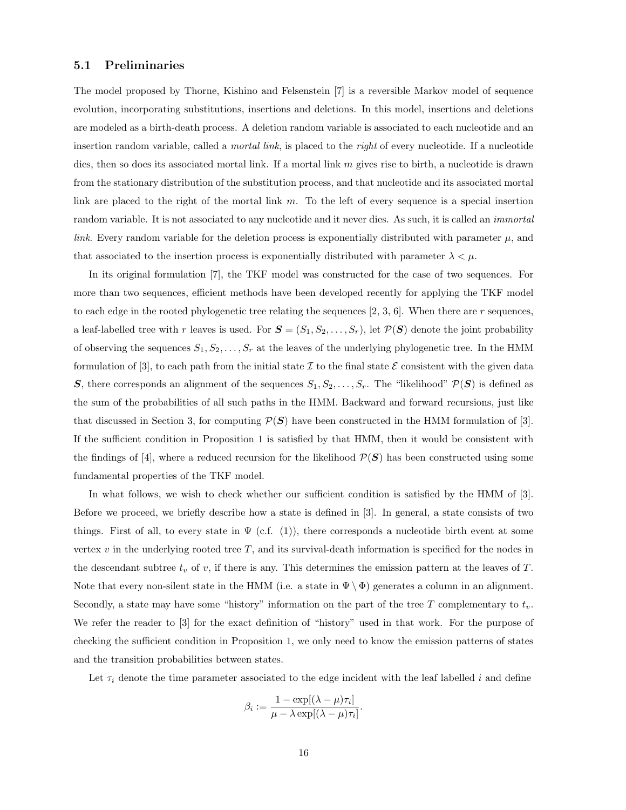### 5.1 Preliminaries

The model proposed by Thorne, Kishino and Felsenstein [7] is a reversible Markov model of sequence evolution, incorporating substitutions, insertions and deletions. In this model, insertions and deletions are modeled as a birth-death process. A deletion random variable is associated to each nucleotide and an insertion random variable, called a *mortal link*, is placed to the *right* of every nucleotide. If a nucleotide dies, then so does its associated mortal link. If a mortal link  $m$  gives rise to birth, a nucleotide is drawn from the stationary distribution of the substitution process, and that nucleotide and its associated mortal link are placed to the right of the mortal link  $m$ . To the left of every sequence is a special insertion random variable. It is not associated to any nucleotide and it never dies. As such, it is called an *immortal* link. Every random variable for the deletion process is exponentially distributed with parameter  $\mu$ , and that associated to the insertion process is exponentially distributed with parameter  $\lambda < \mu$ .

In its original formulation [7], the TKF model was constructed for the case of two sequences. For more than two sequences, efficient methods have been developed recently for applying the TKF model to each edge in the rooted phylogenetic tree relating the sequences  $[2, 3, 6]$ . When there are r sequences, a leaf-labelled tree with r leaves is used. For  $S = (S_1, S_2, \ldots, S_r)$ , let  $\mathcal{P}(S)$  denote the joint probability of observing the sequences  $S_1, S_2, \ldots, S_r$  at the leaves of the underlying phylogenetic tree. In the HMM formulation of [3], to each path from the initial state I to the final state  $\mathcal E$  consistent with the given data S, there corresponds an alignment of the sequences  $S_1, S_2, \ldots, S_r$ . The "likelihood"  $\mathcal{P}(S)$  is defined as the sum of the probabilities of all such paths in the HMM. Backward and forward recursions, just like that discussed in Section 3, for computing  $\mathcal{P}(S)$  have been constructed in the HMM formulation of [3]. If the sufficient condition in Proposition 1 is satisfied by that HMM, then it would be consistent with the findings of [4], where a reduced recursion for the likelihood  $\mathcal{P}(\mathbf{S})$  has been constructed using some fundamental properties of the TKF model.

In what follows, we wish to check whether our sufficient condition is satisfied by the HMM of [3]. Before we proceed, we briefly describe how a state is defined in [3]. In general, a state consists of two things. First of all, to every state in  $\Psi$  (c.f. (1)), there corresponds a nucleotide birth event at some vertex  $v$  in the underlying rooted tree  $T$ , and its survival-death information is specified for the nodes in the descendant subtree  $t_v$  of v, if there is any. This determines the emission pattern at the leaves of T. Note that every non-silent state in the HMM (i.e. a state in  $\Psi \setminus \Phi$ ) generates a column in an alignment. Secondly, a state may have some "history" information on the part of the tree T complementary to  $t_v$ . We refer the reader to [3] for the exact definition of "history" used in that work. For the purpose of checking the sufficient condition in Proposition 1, we only need to know the emission patterns of states and the transition probabilities between states.

Let  $\tau_i$  denote the time parameter associated to the edge incident with the leaf labelled i and define

$$
\beta_i := \frac{1 - \exp[(\lambda - \mu)\tau_i]}{\mu - \lambda \exp[(\lambda - \mu)\tau_i]}.
$$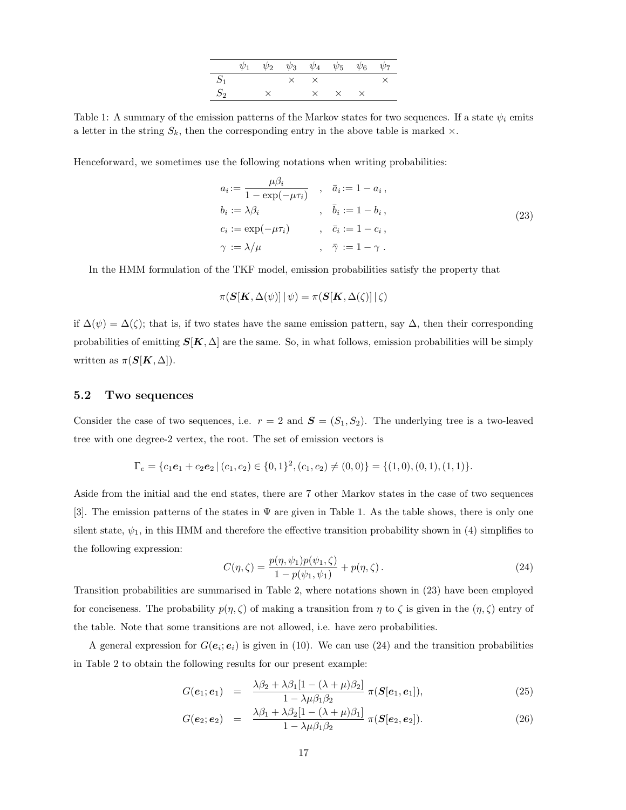|       |  | $\psi_1$ $\psi_2$ $\psi_3$ $\psi_4$ $\psi_5$ $\psi_6$ $\psi_7$ |                   |  |
|-------|--|----------------------------------------------------------------|-------------------|--|
| $S_1$ |  | $\times$ $\times$                                              |                   |  |
| $S_2$ |  |                                                                | $\times$ $\times$ |  |

Table 1: A summary of the emission patterns of the Markov states for two sequences. If a state  $\psi_i$  emits a letter in the string  $S_k$ , then the corresponding entry in the above table is marked  $\times$ .

Henceforward, we sometimes use the following notations when writing probabilities:

$$
a_i := \frac{\mu \beta_i}{1 - \exp(-\mu \tau_i)}, \quad \bar{a}_i := 1 - a_i,
$$
  
\n
$$
b_i := \lambda \beta_i, \qquad \qquad , \quad \bar{b}_i := 1 - b_i,
$$
  
\n
$$
c_i := \exp(-\mu \tau_i), \qquad \qquad , \quad \bar{c}_i := 1 - c_i,
$$
  
\n
$$
\gamma := \lambda/\mu, \qquad \qquad , \quad \bar{\gamma} := 1 - \gamma.
$$
\n(23)

In the HMM formulation of the TKF model, emission probabilities satisfy the property that

$$
\pi(\boldsymbol{S}[\boldsymbol{K},\Delta(\psi)]\,|\,\psi) = \pi(\boldsymbol{S}[\boldsymbol{K},\Delta(\zeta)]\,|\,\zeta)
$$

if  $\Delta(\psi) = \Delta(\zeta)$ ; that is, if two states have the same emission pattern, say  $\Delta$ , then their corresponding probabilities of emitting  $S[K, \Delta]$  are the same. So, in what follows, emission probabilities will be simply written as  $\pi(S[K,\Delta]).$ 

### 5.2 Two sequences

Consider the case of two sequences, i.e.  $r = 2$  and  $S = (S_1, S_2)$ . The underlying tree is a two-leaved tree with one degree-2 vertex, the root. The set of emission vectors is

$$
\Gamma_e = \{c_1e_1 + c_2e_2 \mid (c_1, c_2) \in \{0, 1\}^2, (c_1, c_2) \neq (0, 0)\} = \{(1, 0), (0, 1), (1, 1)\}.
$$

Aside from the initial and the end states, there are 7 other Markov states in the case of two sequences [3]. The emission patterns of the states in Ψ are given in Table 1. As the table shows, there is only one silent state,  $\psi_1$ , in this HMM and therefore the effective transition probability shown in (4) simplifies to the following expression:

$$
C(\eta,\zeta) = \frac{p(\eta,\psi_1)p(\psi_1,\zeta)}{1 - p(\psi_1,\psi_1)} + p(\eta,\zeta).
$$
 (24)

Transition probabilities are summarised in Table 2, where notations shown in (23) have been employed for conciseness. The probability  $p(\eta, \zeta)$  of making a transition from  $\eta$  to  $\zeta$  is given in the  $(\eta, \zeta)$  entry of the table. Note that some transitions are not allowed, i.e. have zero probabilities.

A general expression for  $G(e_i; e_i)$  is given in (10). We can use (24) and the transition probabilities in Table 2 to obtain the following results for our present example:

$$
G(\boldsymbol{e}_1;\boldsymbol{e}_1) = \frac{\lambda\beta_2 + \lambda\beta_1[1 - (\lambda + \mu)\beta_2]}{1 - \lambda\mu\beta_1\beta_2} \pi(\boldsymbol{S}[\boldsymbol{e}_1,\boldsymbol{e}_1]), \qquad (25)
$$

$$
G(\boldsymbol{e}_2;\boldsymbol{e}_2) = \frac{\lambda\beta_1 + \lambda\beta_2[1 - (\lambda + \mu)\beta_1]}{1 - \lambda\mu\beta_1\beta_2} \pi(\boldsymbol{S}[\boldsymbol{e}_2,\boldsymbol{e}_2]). \qquad (26)
$$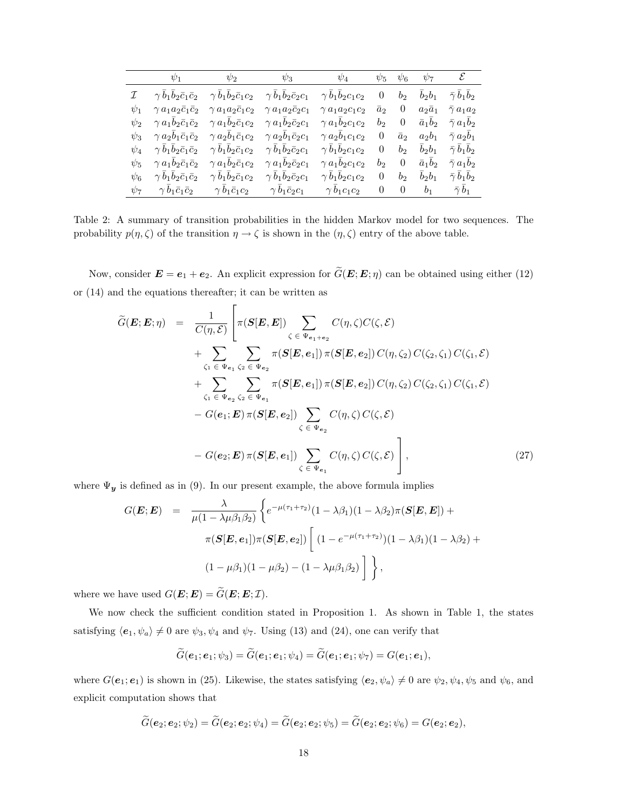|          | $\psi_1$                                       | $\psi_2$                       | $\psi_3$                       | $\psi_4$                                          | $\psi_5$       | $\psi_6$       | $\psi_7$       | $\mathcal{E}$            |
|----------|------------------------------------------------|--------------------------------|--------------------------------|---------------------------------------------------|----------------|----------------|----------------|--------------------------|
|          | $\gamma \, b_1 b_2 \bar{c}_1 \bar{c}_2$        | $\gamma\,b_1b_2\bar{c}_1c_2$   |                                | $\gamma b_1b_2\bar{c}_2c_1$ $\gamma b_1b_2c_1c_2$ | $\theta$       | b <sub>2</sub> | $b_2b_1$       | $\bar{\gamma} b_1 b_2$   |
| $\psi_1$ | $\gamma a_1 a_2 \overline{c}_1 \overline{c}_2$ | $\gamma a_1 a_2 \bar{c}_1 c_2$ | $\gamma a_1 a_2 \bar{c}_2 c_1$ | $\gamma a_1 a_2 c_1 c_2$                          | $\bar{a}_2$    | $\theta$       | $a_2\bar{a}_1$ | $\bar{\gamma}$ $a_1 a_2$ |
| $\psi_2$ | $\gamma a_1 b_2 \bar{c}_1 \bar{c}_2$           | $\gamma a_1 b_2 \bar{c}_1 c_2$ | $\gamma a_1 b_2 \bar{c}_2 c_1$ | $\gamma a_1b_2c_1c_2$                             | $b_2$          | $\theta$       | $\bar{a}_1b_2$ | $\bar{\gamma}$ $a_1b_2$  |
| $\psi_3$ | $\gamma a_2 b_1 \bar{c}_1 \bar{c}_2$           | $\gamma a_2 b_1 \bar{c}_1 c_2$ | $\gamma a_2b_1\bar{c}_2c_1$    | $\gamma a_2b_1c_1c_2$                             | $\overline{0}$ | $\bar{a}_2$    | $a_2b_1$       | $\bar{\gamma}$ $a_2b_1$  |
| $\psi_4$ | $\gamma b_1 b_2 \bar{c}_1 \bar{c}_2$           | $\gamma b_1 b_2 \bar{c}_1 c_2$ | $\gamma b_1 b_2 \bar{c}_2 c_1$ | $\gamma b_1b_2c_1c_2$                             | $\theta$       | b <sub>2</sub> | $b_2b_1$       | $\bar{\gamma} b_1 b_2$   |
| $\psi_5$ | $\gamma a_1 b_2 \bar{c}_1 \bar{c}_2$           | $\gamma a_1 b_2 \bar{c}_1 c_2$ | $\gamma a_1 b_2 \bar{c}_2 c_1$ | $\gamma a_1b_2c_1c_2$                             | b <sub>2</sub> | $\theta$       | $\bar{a}_1b_2$ | $\bar{\gamma}$ $a_1b_2$  |
| $\psi_6$ | $\gamma b_1 b_2 \bar{c}_1 \bar{c}_2$           | $\gamma b_1 b_2 \bar{c}_1 c_2$ | $\gamma b_1 b_2 \bar{c}_2 c_1$ | $\gamma b_1b_2c_1c_2$                             | $\theta$       | b <sub>2</sub> | $b_2b_1$       | $\bar{\gamma} b_1 b_2$   |
| $\psi_7$ | $\gamma b_1\bar{c}_1\bar{c}_2$                 | $\gamma b_1\bar{c}_1c_2$       | $\gamma b_1\bar{c}_2c_1$       | $\gamma b_1c_1c_2$                                | $\theta$       | $\theta$       | b <sub>1</sub> | $\bar{\gamma} b_1$       |

Table 2: A summary of transition probabilities in the hidden Markov model for two sequences. The probability  $p(\eta, \zeta)$  of the transition  $\eta \to \zeta$  is shown in the  $(\eta, \zeta)$  entry of the above table.

Now, consider  $\mathbf{E} = \mathbf{e}_1 + \mathbf{e}_2$ . An explicit expression for  $\widetilde{G}(\mathbf{E}; \mathbf{E}; \eta)$  can be obtained using either (12) or (14) and the equations thereafter; it can be written as

$$
\widetilde{G}(\boldsymbol{E};\boldsymbol{E};\eta) = \frac{1}{C(\eta,\mathcal{E})} \left[ \pi(\boldsymbol{S}[\boldsymbol{E},\boldsymbol{E}]) \sum_{\zeta \in \Psi_{e_1+e_2}} C(\eta,\zeta) C(\zeta,\mathcal{E}) \right. \\
\left. + \sum_{\zeta_1 \in \Psi_{e_1}} \sum_{\zeta_2 \in \Psi_{e_2}} \pi(\boldsymbol{S}[\boldsymbol{E},e_1]) \pi(\boldsymbol{S}[\boldsymbol{E},e_2]) C(\eta,\zeta_2) C(\zeta_2,\zeta_1) C(\zeta_1,\mathcal{E}) \right. \\
\left. + \sum_{\zeta_1 \in \Psi_{e_2}} \sum_{\zeta_2 \in \Psi_{e_1}} \pi(\boldsymbol{S}[\boldsymbol{E},e_1]) \pi(\boldsymbol{S}[\boldsymbol{E},e_2]) C(\eta,\zeta_2) C(\zeta_2,\zeta_1) C(\zeta_1,\mathcal{E}) \right. \\
\left. - G(e_1;\boldsymbol{E}) \pi(\boldsymbol{S}[\boldsymbol{E},e_2]) \sum_{\zeta \in \Psi_{e_2}} C(\eta,\zeta) C(\zeta,\mathcal{E}) \right],
$$
\n(27)

where  $\Psi_{\boldsymbol{y}}$  is defined as in (9). In our present example, the above formula implies

$$
G(\bm{E}; \bm{E}) = \frac{\lambda}{\mu(1 - \lambda\mu\beta_1\beta_2)} \left\{ e^{-\mu(\tau_1 + \tau_2)} (1 - \lambda\beta_1)(1 - \lambda\beta_2)\pi(\bm{S}[\bm{E}, \bm{E}]) + \pi(\bm{S}[\bm{E}, \bm{e}_1])\pi(\bm{S}[\bm{E}, \bm{e}_2]) \left[ (1 - e^{-\mu(\tau_1 + \tau_2)})(1 - \lambda\beta_1)(1 - \lambda\beta_2) + (1 - \mu\beta_1)(1 - \mu\beta_2) - (1 - \lambda\mu\beta_1\beta_2) \right] \right\},
$$

where we have used  $G(\mathbf{E}; \mathbf{E}) = \widetilde{G}(\mathbf{E}; \mathbf{E}; \mathcal{I}).$ 

We now check the sufficient condition stated in Proposition 1. As shown in Table 1, the states satisfying  $\langle e_1, \psi_a \rangle \neq 0$  are  $\psi_3, \psi_4$  and  $\psi_7$ . Using (13) and (24), one can verify that

$$
\widetilde{G}(\boldsymbol{e}_1;\boldsymbol{e}_1;\psi_3)=\widetilde{G}(\boldsymbol{e}_1;\boldsymbol{e}_1;\psi_4)=\widetilde{G}(\boldsymbol{e}_1;\boldsymbol{e}_1;\psi_7)=G(\boldsymbol{e}_1;\boldsymbol{e}_1),
$$

where  $G(e_1; e_1)$  is shown in (25). Likewise, the states satisfying  $\langle e_2, \psi_a \rangle \neq 0$  are  $\psi_2, \psi_4, \psi_5$  and  $\psi_6$ , and explicit computation shows that

$$
\widetilde{G}(e_2;e_2;\psi_2)=\widetilde{G}(e_2;e_2;\psi_4)=\widetilde{G}(e_2;e_2;\psi_5)=\widetilde{G}(e_2;e_2;\psi_6)=G(e_2;e_2),
$$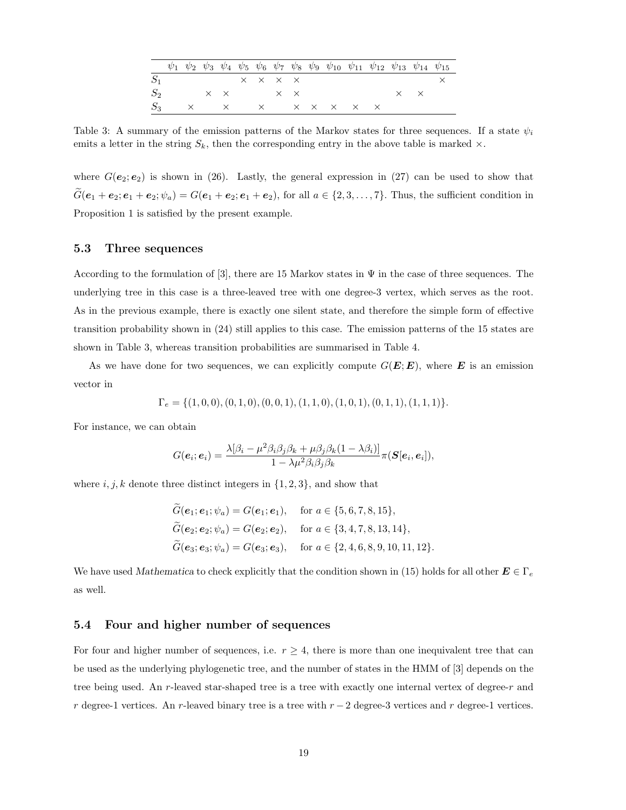|       |  |  |                                              |  | $\psi_1$ $\psi_2$ $\psi_3$ $\psi_4$ $\psi_5$ $\psi_6$ $\psi_7$ $\psi_8$ $\psi_9$ $\psi_{10}$ $\psi_{11}$ $\psi_{12}$ $\psi_{13}$ $\psi_{14}$ $\psi_{15}$ |  |                   |  |
|-------|--|--|----------------------------------------------|--|----------------------------------------------------------------------------------------------------------------------------------------------------------|--|-------------------|--|
|       |  |  | $\times$ $\times$ $\times$ $\times$          |  |                                                                                                                                                          |  |                   |  |
| $S_2$ |  |  | $\times$ $\times$ $\times$ $\times$ $\times$ |  |                                                                                                                                                          |  | $\times$ $\times$ |  |
|       |  |  |                                              |  | $S_3$ x x x x x x x x                                                                                                                                    |  |                   |  |

Table 3: A summary of the emission patterns of the Markov states for three sequences. If a state  $\psi_i$ emits a letter in the string  $S_k$ , then the corresponding entry in the above table is marked  $\times$ .

where  $G(\mathbf{e}_2;\mathbf{e}_2)$  is shown in (26). Lastly, the general expression in (27) can be used to show that  $G(e_1 + e_2; e_1 + e_2; \psi_a) = G(e_1 + e_2; e_1 + e_2)$ , for all  $a \in \{2, 3, ..., 7\}$ . Thus, the sufficient condition in Proposition 1 is satisfied by the present example.

### 5.3 Three sequences

According to the formulation of [3], there are 15 Markov states in  $\Psi$  in the case of three sequences. The underlying tree in this case is a three-leaved tree with one degree-3 vertex, which serves as the root. As in the previous example, there is exactly one silent state, and therefore the simple form of effective transition probability shown in (24) still applies to this case. The emission patterns of the 15 states are shown in Table 3, whereas transition probabilities are summarised in Table 4.

As we have done for two sequences, we can explicitly compute  $G(E; E)$ , where E is an emission vector in

$$
\Gamma_e = \{ (1,0,0), (0,1,0), (0,0,1), (1,1,0), (1,0,1), (0,1,1), (1,1,1) \}.
$$

For instance, we can obtain

$$
G(\boldsymbol{e}_i;\boldsymbol{e}_i)=\frac{\lambda[\beta_i-\mu^2\beta_i\beta_j\beta_k+\mu\beta_j\beta_k(1-\lambda\beta_i)]}{1-\lambda\mu^2\beta_i\beta_j\beta_k}\pi(\boldsymbol{S}[\boldsymbol{e}_i,\boldsymbol{e}_i]),
$$

where  $i, j, k$  denote three distinct integers in  $\{1, 2, 3\}$ , and show that

$$
\widetilde{G}(e_1; e_1; \psi_a) = G(e_1; e_1), \quad \text{for } a \in \{5, 6, 7, 8, 15\},
$$
  
\n
$$
\widetilde{G}(e_2; e_2; \psi_a) = G(e_2; e_2), \quad \text{for } a \in \{3, 4, 7, 8, 13, 14\},
$$
  
\n
$$
\widetilde{G}(e_3; e_3; \psi_a) = G(e_3; e_3), \quad \text{for } a \in \{2, 4, 6, 8, 9, 10, 11, 12\}.
$$

We have used Mathematica to check explicitly that the condition shown in (15) holds for all other  $E \in \Gamma_e$ as well.

### 5.4 Four and higher number of sequences

For four and higher number of sequences, i.e.  $r \geq 4$ , there is more than one inequivalent tree that can be used as the underlying phylogenetic tree, and the number of states in the HMM of [3] depends on the tree being used. An r-leaved star-shaped tree is a tree with exactly one internal vertex of degree-r and r degree-1 vertices. An r-leaved binary tree is a tree with  $r - 2$  degree-3 vertices and r degree-1 vertices.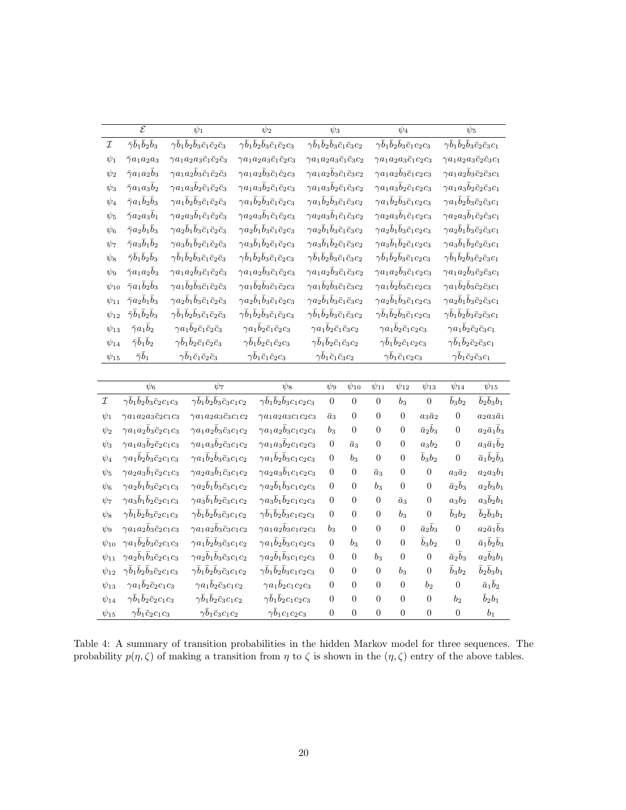|              | $\overline{\mathcal{E}}$<br>$\psi_1$                                                                                 |                                                                                                  |                                                                              | $\psi_2$                                                          |                                                                | $\psi_3$                                                          |                                                                |                                                              | $\psi_4$                                      |                                                          |                                                                   | $\psi_5$                                            |                                                                |  |  |
|--------------|----------------------------------------------------------------------------------------------------------------------|--------------------------------------------------------------------------------------------------|------------------------------------------------------------------------------|-------------------------------------------------------------------|----------------------------------------------------------------|-------------------------------------------------------------------|----------------------------------------------------------------|--------------------------------------------------------------|-----------------------------------------------|----------------------------------------------------------|-------------------------------------------------------------------|-----------------------------------------------------|----------------------------------------------------------------|--|--|
| ${\cal I}$   | $\bar{\gamma} \bar{b}_1 \bar{b}_2 \bar{b}_3$<br>$\gamma \bar{b}_1 \bar{b}_2 \bar{b}_3 \bar{c}_1 \bar{c}_2 \bar{c}_3$ |                                                                                                  | $\gamma \bar{b}_1 \bar{b}_2 \bar{b}_3 \bar{c}_1 \bar{c}_2 c_3$               |                                                                   | $\gamma \bar{b}_1 \bar{b}_2 \bar{b}_3 \bar{c}_1 \bar{c}_3 c_2$ |                                                                   |                                                                | $\gamma \bar{b}_1 \bar{b}_2 \bar{b}_3 \bar{c}_1 c_2 c_3$     |                                               |                                                          | $\gamma \bar{b}_1 \bar{b}_2 \bar{b}_3 \bar{c}_2 \bar{c}_3 c_1$    |                                                     |                                                                |  |  |
| $\psi_1$     | $\bar{\gamma} a_1 a_2 a_3$                                                                                           | $\gamma a_1 a_2 a_3 \bar{c}_1 \bar{c}_2 \bar{c}_3$                                               |                                                                              | $\gamma a_1 a_2 a_3 \bar{c}_1 \bar{c}_2 c_3$                      |                                                                | $\gamma a_1 a_2 a_3 \bar{c}_1 \bar{c}_3 c_2$                      |                                                                | $\gamma a_1 a_2 a_3 \bar{c}_1 c_2 c_3$                       |                                               |                                                          | $\gamma a_1 a_2 a_3 \bar{c}_2 \bar{c}_3 c_1$                      |                                                     |                                                                |  |  |
| $\psi_2$     | $\bar\gamma a_1 a_2 \bar b_3$                                                                                        | $\gamma a_1 a_2 \bar{b}_3 \bar{c}_1 \bar{c}_2 \bar{c}_3$                                         |                                                                              | $\gamma a_1 a_2 \bar{b}_3 \bar{c}_1 \bar{c}_2 c_3$                |                                                                | $\gamma a_1 a_2 \bar{b}_3 \bar{c}_1 \bar{c}_3 c_2$                |                                                                | $\gamma a_1 a_2 \overline{b}_3 \overline{c}_1 c_2 c_3$       |                                               |                                                          | $\gamma a_1 a_2 \overline{b}_3 \overline{c}_2 \overline{c}_3 c_1$ |                                                     |                                                                |  |  |
| $\psi_3$     | $\bar\gamma a_1 a_3 \bar b_2$                                                                                        |                                                                                                  | $\gamma a_1 a_3 \overline{b}_2 \overline{c}_1 \overline{c}_2 \overline{c}_3$ | $\gamma a_1 a_3 \overline{b}_2 \overline{c}_1 \overline{c}_2 c_3$ |                                                                | $\gamma a_1 a_3 \overline{b}_2 \overline{c}_1 \overline{c}_3 c_2$ |                                                                | $\gamma a_1 a_3 \overline{b}_2 \overline{c}_1 c_2 c_3$       |                                               |                                                          | $\gamma a_1 a_3 \overline{b}_2 \overline{c}_2 \overline{c}_3 c_1$ |                                                     |                                                                |  |  |
| $\psi_4$     | $\bar{\gamma}a_1\bar{b}_2\bar{b}_3$                                                                                  |                                                                                                  | $\gamma a_1\bar{b}_2\bar{b}_3\bar{c}_1\bar{c}_2\bar{c}_3$                    | $\gamma a_1\bar{b}_2\bar{b}_3\bar{c}_1\bar{c}_2c_3$               |                                                                | $\gamma a_1\bar{b}_2\bar{b}_3\bar{c}_1\bar{c}_3c_2$               |                                                                | $\gamma a_1\overline{b}_2\overline{b}_3\overline{c}_1c_2c_3$ |                                               |                                                          | $\gamma a_1\bar{b}_2\bar{b}_3\bar{c}_2\bar{c}_3c_1$               |                                                     |                                                                |  |  |
| $\psi_5$     | $\bar\gamma a_2 a_3 \bar b_1$                                                                                        |                                                                                                  | $\gamma a_2 a_3 \bar{b}_1 \bar{c}_1 \bar{c}_2 \bar{c}_3$                     |                                                                   | $\gamma a_2 a_3 \bar{b}_1 \bar{c}_1 \bar{c}_2 c_3$             | $\gamma a_2 a_3\bar{b}_1\bar{c}_1\bar{c}_3c_2$                    |                                                                | $\gamma a_2 a_3 \overline{b}_1 \overline{c}_1 c_2 c_3$       |                                               |                                                          | $\gamma a_2 a_3\bar{b}_1\bar{c}_2\bar{c}_3c_1$                    |                                                     |                                                                |  |  |
| $\psi_6$     | $\bar\gamma a_2\bar b_1\bar b_3$                                                                                     |                                                                                                  | $\gamma a_2\bar{b}_1\bar{b}_3\bar{c}_1\bar{c}_2\bar{c}_3$                    |                                                                   | $\gamma a_2\bar{b}_1\bar{b}_3\bar{c}_1\bar{c}_2c_3$            | $\gamma a_2\bar{b}_1\bar{b}_3\bar{c}_1\bar{c}_3c_2$               |                                                                |                                                              | $\gamma a_2\bar{b}_1\bar{b}_3\bar{c}_1c_2c_3$ |                                                          |                                                                   | $\gamma a_2\bar{b}_1\bar{b}_3\bar{c}_2\bar{c}_3c_1$ |                                                                |  |  |
| $\psi_7$     | $\bar{\gamma}a_3\bar{b}_1\bar{b}_2$                                                                                  |                                                                                                  | $\gamma a_3\bar{b}_1\bar{b}_2\bar{c}_1\bar{c}_2\bar{c}_3$                    |                                                                   | $\gamma a_3\bar{b}_1\bar{b}_2\bar{c}_1\bar{c}_2c_3$            |                                                                   | $\gamma a_3\bar{b}_1\bar{b}_2\bar{c}_1\bar{c}_3c_2$            |                                                              |                                               | $\gamma a_3\bar{b}_1\bar{b}_2\bar{c}_1c_2c_3$            |                                                                   |                                                     | $\gamma a_3\bar{b}_1\bar{b}_2\bar{c}_2\bar{c}_3c_1$            |  |  |
| $\psi_8$     | $\bar{\gamma} \bar{b}_1 \bar{b}_2 \bar{b}_3$                                                                         |                                                                                                  | $\gamma \bar{b}_1 \bar{b}_2 \bar{b}_3 \bar{c}_1 \bar{c}_2 \bar{c}_3$         |                                                                   | $\gamma \bar{b}_1 \bar{b}_2 \bar{b}_3 \bar{c}_1 \bar{c}_2 c_3$ | $\gamma \bar{b}_1 \bar{b}_2 \bar{b}_3 \bar{c}_1 \bar{c}_3 c_2$    |                                                                |                                                              |                                               | $\gamma \bar{b}_1 \bar{b}_2 \bar{b}_3 \bar{c}_1 c_2 c_3$ |                                                                   |                                                     | $\gamma \bar{b}_1 \bar{b}_2 \bar{b}_3 \bar{c}_2 \bar{c}_3 c_1$ |  |  |
| $\psi_9$     | $\bar\gamma a_1 a_2 \bar b_3$                                                                                        |                                                                                                  | $\gamma a_1 a_2 \overline{b}_3 \overline{c}_1 \overline{c}_2 \overline{c}_3$ |                                                                   | $\gamma a_1 a_2 \bar{b}_3 \bar{c}_1 \bar{c}_2 c_3$             |                                                                   |                                                                | $\gamma a_1 a_2 \bar{b}_3 \bar{c}_1 \bar{c}_3 c_2$           |                                               | $\gamma a_1 a_2 \overline{b}_3 \overline{c}_1 c_2 c_3$   |                                                                   | $\gamma a_1 a_2 \bar{b}_3 \bar{c}_2 \bar{c}_3 c_1$  |                                                                |  |  |
| $\psi_{10}$  | $\bar\gamma a_1\bar b_2\bar b_3$                                                                                     |                                                                                                  | $\gamma a_1 \bar{b}_2 \bar{b}_3 \bar{c}_1 \bar{c}_2 \bar{c}_3$               |                                                                   | $\gamma a_1\bar{b}_2\bar{b}_3\bar{c}_1\bar{c}_2c_3$            | $\gamma a_1\bar{b}_2\bar{b}_3\bar{c}_1\bar{c}_3c_2$               |                                                                |                                                              | $\gamma a_1\bar{b}_2\bar{b}_3\bar{c}_1c_2c_3$ |                                                          |                                                                   | $\gamma a_1\bar{b}_2\bar{b}_3\bar{c}_2\bar{c}_3c_1$ |                                                                |  |  |
| $\psi_{11}$  | $\bar\gamma a_2\bar b_1\bar b_3$                                                                                     |                                                                                                  | $\gamma a_2\bar{b}_1\bar{b}_3\bar{c}_1\bar{c}_2\bar{c}_3$                    | $\gamma a_2\bar{b}_1\bar{b}_3\bar{c}_1\bar{c}_2c_3$               |                                                                |                                                                   | $\gamma a_2\bar{b}_1\bar{b}_3\bar{c}_1\bar{c}_3c_2$            |                                                              |                                               | $\gamma a_2\bar{b}_1\bar{b}_3\bar{c}_1c_2c_3$            |                                                                   |                                                     | $\gamma a_2\bar{b}_1\bar{b}_3\bar{c}_2\bar{c}_3c_1$            |  |  |
| $\psi_{12}$  | $\bar{\gamma} \bar{b}_1 \bar{b}_2 \bar{b}_3$                                                                         |                                                                                                  | $\gamma \bar{b}_1 \bar{b}_2 \bar{b}_3 \bar{c}_1 \bar{c}_2 \bar{c}_3$         | $\gamma \bar{b}_1 \bar{b}_2 \bar{b}_3 \bar{c}_1 \bar{c}_2 c_3$    |                                                                |                                                                   | $\gamma \bar{b}_1 \bar{b}_2 \bar{b}_3 \bar{c}_1 \bar{c}_3 c_2$ |                                                              |                                               | $\gamma \bar{b}_1 \bar{b}_2 \bar{b}_3 \bar{c}_1 c_2 c_3$ |                                                                   |                                                     | $\gamma \bar{b}_1 \bar{b}_2 \bar{b}_3 \bar{c}_2 \bar{c}_3 c_1$ |  |  |
| $\psi_{13}$  | $\bar{\gamma}a_1\bar{b}_2$                                                                                           |                                                                                                  | $\gamma a_1\bar{b}_2\bar{c}_1\bar{c}_2\bar{c}_3$                             | $\gamma a_1\bar{b}_2\bar{c}_1\bar{c}_2c_3$                        |                                                                | $\gamma a_1\bar{b}_2\bar{c}_1\bar{c}_3c_2$                        |                                                                |                                                              | $\gamma a_1\bar{b}_2\bar{c}_1c_2c_3$          |                                                          |                                                                   | $\gamma a_1\bar{b}_2\bar{c}_2\bar{c}_3c_1$          |                                                                |  |  |
| $\psi_{14}$  |                                                                                                                      | $\bar{\gamma} \bar{b}_1 \bar{b}_2$<br>$\gamma \bar{b}_1 \bar{b}_2 \bar{c}_1 \bar{c}_2 \bar{c}_3$ |                                                                              | $\gamma \bar{b}_1 \bar{b}_2 \bar{c}_1 \bar{c}_2 c_3$              |                                                                |                                                                   | $\gamma \bar{b}_1 \bar{b}_2 \bar{c}_1 \bar{c}_3 c_2$           |                                                              |                                               | $\gamma \bar{b}_1 \bar{b}_2 \bar{c}_1 c_2 c_3$           |                                                                   |                                                     | $\gamma \bar{b}_1 \bar{b}_2 \bar{c}_2 \bar{c}_3 c_1$           |  |  |
|              | $\bar{\gamma} \bar{b}_1$<br>$\psi_{15}$                                                                              |                                                                                                  | $\gamma \bar{b}_1 \bar{c}_1 \bar{c}_2 \bar{c}_3$                             |                                                                   | $\gamma \bar{b}_1 \bar{c}_1 \bar{c}_2 c_3$                     |                                                                   | $\gamma \bar{b}_1 \bar{c}_1 \bar{c}_3 c_2$                     |                                                              | $\gamma \bar{b}_1 \bar{c}_1 c_2 c_3$          |                                                          |                                                                   | $\gamma \bar{b}_1 \bar{c}_2 \bar{c}_3 c_1$          |                                                                |  |  |
|              |                                                                                                                      |                                                                                                  |                                                                              |                                                                   |                                                                |                                                                   |                                                                |                                                              |                                               |                                                          |                                                                   |                                                     |                                                                |  |  |
|              | $\psi_6$                                                                                                             |                                                                                                  | $\psi_7$                                                                     |                                                                   | $\psi_8$                                                       |                                                                   | $\psi_9$                                                       | $\psi_{10}$                                                  | $\psi_{11}$                                   | $\psi_{12}$                                              | $\psi_{13}$                                                       | $\psi_{14}$                                         | $\psi_{15}$                                                    |  |  |
| $\mathcal I$ | $\gamma \bar{b}_1 \bar{b}_2 \bar{b}_3 \bar{c}_2 c_1 c_3$                                                             |                                                                                                  | $\gamma \bar{b}_1 \bar{b}_2 \bar{b}_3 \bar{c}_3 c_1 c_2$                     |                                                                   | $\gamma \bar{b}_1 \bar{b}_2 \bar{b}_3 c_1 c_2 c_3$             |                                                                   | $\boldsymbol{0}$                                               | $\boldsymbol{0}$                                             | $\boldsymbol{0}$                              | $b_3$                                                    | $\boldsymbol{0}$                                                  | $\bar{b}_3b_2$                                      | $\bar{b}_2\bar{b}_3b_1$                                        |  |  |
| $\psi_1$     | $\gamma a_1 a_2 a_3 \bar{c}_2 c_1 c_3$                                                                               |                                                                                                  | $\gamma a_1 a_2 a_3 \bar{c}_3 c_1 c_2$                                       |                                                                   | $\gamma a_1 a_2 a_3 c_1 c_2 c_3$                               |                                                                   | $\bar{a}_3$                                                    | $\boldsymbol{0}$                                             | $\boldsymbol{0}$                              | $\boldsymbol{0}$                                         | $a_3\bar{a}_2$                                                    | $\boldsymbol{0}$                                    | $a_2a_3\bar{a}_1$                                              |  |  |
| $\psi_2$     | $\gamma a_1 a_2 \overline{b}_3 \overline{c}_2 c_1 c_3$                                                               |                                                                                                  | $\gamma a_1 a_2 \overline{b}_3 \overline{c}_3 c_1 c_2$                       |                                                                   | $\gamma a_1 a_2 \overline{b}_3 c_1 c_2 c_3$                    |                                                                   | $b_3$                                                          | $\boldsymbol{0}$                                             | $\overline{0}$                                | $\overline{0}$                                           | $\bar{a}_2\bar{b}_3$                                              | $\overline{0}$                                      | $a_2\bar{a}_1\bar{b}_3$                                        |  |  |
| $\psi_3$     | $\gamma a_1 a_3 \overline{b}_2 \overline{c}_2 c_1 c_3$                                                               |                                                                                                  | $\gamma a_1 a_3 \overline{b}_2 \overline{c}_3 c_1 c_2$                       | $\gamma a_1 a_3 \overline{b}_2 c_1 c_2 c_3$                       |                                                                |                                                                   | $\boldsymbol{0}$                                               | $\bar{a}_3$                                                  | $\overline{0}$                                | $\overline{0}$                                           | $a_3b_2$                                                          | $\overline{0}$                                      | $a_3\bar{a}_1\bar{b}_2$                                        |  |  |
| $\psi_4$     | $\gamma a_1\bar{b}_2\bar{b}_3\bar{c}_2c_1c_3$                                                                        |                                                                                                  | $\gamma a_1\bar{b}_2\bar{b}_3\bar{c}_3c_1c_2$                                |                                                                   | $\gamma a_1\bar{b}_2\bar{b}_3c_1c_2c_3$                        |                                                                   | $\boldsymbol{0}$                                               | $b_3$                                                        | $\overline{0}$                                | $\boldsymbol{0}$                                         | $\bar{b}_3b_2$                                                    | $\overline{0}$                                      | $\bar{a}_1\bar{b}_2\bar{b}_3$                                  |  |  |
| $\psi_5$     | $\gamma a_2 a_3 \overline{b}_1 \overline{c}_2 c_1 c_3$                                                               |                                                                                                  | $\gamma a_2 a_3 \overline{b}_1 \overline{c}_3 c_1 c_2$                       |                                                                   | $\gamma a_2 a_3 \overline{b}_1 c_1 c_2 c_3$                    |                                                                   | $\overline{0}$                                                 | $\boldsymbol{0}$                                             | $\bar{a}_3$                                   | $\boldsymbol{0}$                                         | $\boldsymbol{0}$                                                  | $a_3\bar{a}_2$                                      | $a_2a_3b_1$                                                    |  |  |
| $\psi_6$     | $\gamma a_2\bar{b}_1\bar{b}_3\bar{c}_2c_1c_3$                                                                        |                                                                                                  | $\gamma a_2\overline{b}_1\overline{b}_3\overline{c}_3c_1c_2$                 |                                                                   | $\gamma a_2\bar{b}_1\bar{b}_3c_1c_2c_3$                        |                                                                   | 0                                                              | $\boldsymbol{0}$                                             | $b_3$                                         | $\boldsymbol{0}$                                         | $\overline{0}$                                                    | $\bar{a}_2\bar{b}_3$                                | $a_2\bar{b}_3b_1$                                              |  |  |
| $\psi_7$     | $\gamma a_3\bar{b}_1\bar{b}_2\bar{c}_2c_1c_3$                                                                        |                                                                                                  | $\gamma a_3\bar{b}_1\bar{b}_2\bar{c}_3c_1c_2$                                |                                                                   | $\gamma a_3\overline{b}_1\overline{b}_2c_1c_2c_3$              |                                                                   | $\boldsymbol{0}$                                               | $\overline{0}$                                               | $\boldsymbol{0}$                              | $\bar{a}_3$                                              | $\boldsymbol{0}$                                                  | $a_3b_2$                                            | $a_3\overline{b}_2b_1$                                         |  |  |
| $\psi_8$     | $\gamma \bar{b}_1 \bar{b}_2 \bar{b}_3 \bar{c}_2 c_1 c_3$                                                             |                                                                                                  | $\gamma \bar{b}_1 \bar{b}_2 \bar{b}_3 \bar{c}_3 c_1 c_2$                     |                                                                   | $\gamma \bar{b}_1 \bar{b}_2 \bar{b}_3 c_1 c_2 c_3$             |                                                                   | $\boldsymbol{0}$                                               | $\boldsymbol{0}$                                             | $\boldsymbol{0}$                              | $b_3$                                                    | $\overline{0}$                                                    | $\bar{b}_3b_2$                                      | $\bar{b}_2\bar{b}_3b_1$                                        |  |  |
| $\psi_9$     | $\gamma a_1 a_2 \overline{b}_3 \overline{c}_2 c_1 c_3$                                                               |                                                                                                  | $\gamma a_1 a_2 \overline{b}_3 \overline{c}_3 c_1 c_2$                       |                                                                   | $\gamma a_1 a_2 \overline{b}_3 c_1 c_2 c_3$                    |                                                                   | $b_3$                                                          | $\boldsymbol{0}$                                             | $\overline{0}$                                | $\boldsymbol{0}$                                         | $\bar{a}_2\bar{b}_3$                                              | $\boldsymbol{0}$                                    | $a_2\bar{a}_1\bar{b}_3$                                        |  |  |
| $\psi_{10}$  | $\gamma a_1\bar{b}_2\bar{b}_3\bar{c}_2c_1c_3$                                                                        |                                                                                                  | $\gamma a_1\bar{b}_2\bar{b}_3\bar{c}_3c_1c_2$                                |                                                                   | $\gamma a_1\overline{b}_2\overline{b}_3c_1c_2c_3$              |                                                                   | 0                                                              | $b_3$                                                        | $\boldsymbol{0}$                              | $\boldsymbol{0}$                                         | $\bar{b}_3b_2$                                                    | $\boldsymbol{0}$                                    | $\bar{a}_1\bar{b}_2\bar{b}_3$                                  |  |  |
| $\psi_{11}$  | $\gamma a_2\bar{b}_1\bar{b}_3\bar{c}_2c_1c_3$                                                                        |                                                                                                  | $\gamma a_2\bar{b}_1\bar{b}_3\bar{c}_3c_1c_2$                                |                                                                   | $\gamma a_2\bar{b}_1\bar{b}_3c_1c_2c_3$                        |                                                                   | 0                                                              | $\boldsymbol{0}$                                             | $b_3$                                         | $\overline{0}$                                           | $\overline{0}$                                                    | $\bar{a}_2\bar{b}_3$                                | $a_2\bar{b}_3b_1$                                              |  |  |
| $\psi_{12}$  | $\gamma \bar{b}_1 \bar{b}_2 \bar{b}_3 \bar{c}_2 c_1 c_3$                                                             |                                                                                                  | $\gamma \bar{b}_1 \bar{b}_2 \bar{b}_3 \bar{c}_3 c_1 c_2$                     |                                                                   | $\gamma \bar{b}_1 \bar{b}_2 \bar{b}_3 c_1 c_2 c_3$             |                                                                   | $\boldsymbol{0}$                                               | 0                                                            | $\boldsymbol{0}$                              | $b_3$                                                    | $\overline{0}$                                                    | $\bar{b}_3b_2$                                      | $\bar{b}_2\bar{b}_3b_1$                                        |  |  |
| $\psi_{13}$  | $\gamma a_1\bar{b}_2\bar{c}_2c_1c_3$                                                                                 |                                                                                                  | $\gamma a_1\bar{b}_2\bar{c}_3c_1c_2$                                         |                                                                   | $\gamma a_1\bar{b}_2c_1c_2c_3$                                 |                                                                   | $\boldsymbol{0}$                                               | $\boldsymbol{0}$                                             | $\overline{0}$                                | $\boldsymbol{0}$                                         | $b_2$                                                             | $\boldsymbol{0}$                                    | $\bar{a}_1\bar{b}_2$                                           |  |  |
| $\psi_{14}$  | $\gamma \bar{b}_1 \bar{b}_2 \bar{c}_2 c_1 c_3$                                                                       |                                                                                                  | $\gamma \bar{b}_1 \bar{b}_2 \bar{c}_3 c_1 c_2$                               |                                                                   | $\gamma \bar{b}_1 \bar{b}_2 c_1 c_2 c_3$                       |                                                                   | $\overline{0}$                                                 | $\boldsymbol{0}$                                             | $\overline{0}$                                | $\overline{0}$                                           | $\boldsymbol{0}$                                                  | b <sub>2</sub>                                      | $\bar{b}_2b_1$                                                 |  |  |
| $\psi_{15}$  | $\gamma\bar{b}_1\bar{c}_2c_1c_3$                                                                                     |                                                                                                  | $\gamma \bar{b}_1 \bar{c}_3 c_1 c_2$                                         |                                                                   | $\gamma \bar{b}_1 c_1 c_2 c_3$                                 |                                                                   | 0                                                              | $\overline{0}$                                               | $\overline{0}$                                | $\boldsymbol{0}$                                         | $\overline{0}$                                                    | $\boldsymbol{0}$                                    | $b_1$                                                          |  |  |

Table 4: A summary of transition probabilities in the hidden Markov model for three sequences. The probability  $p(\eta, \zeta)$  of making a transition from  $\eta$  to  $\zeta$  is shown in the  $(\eta, \zeta)$  entry of the above tables.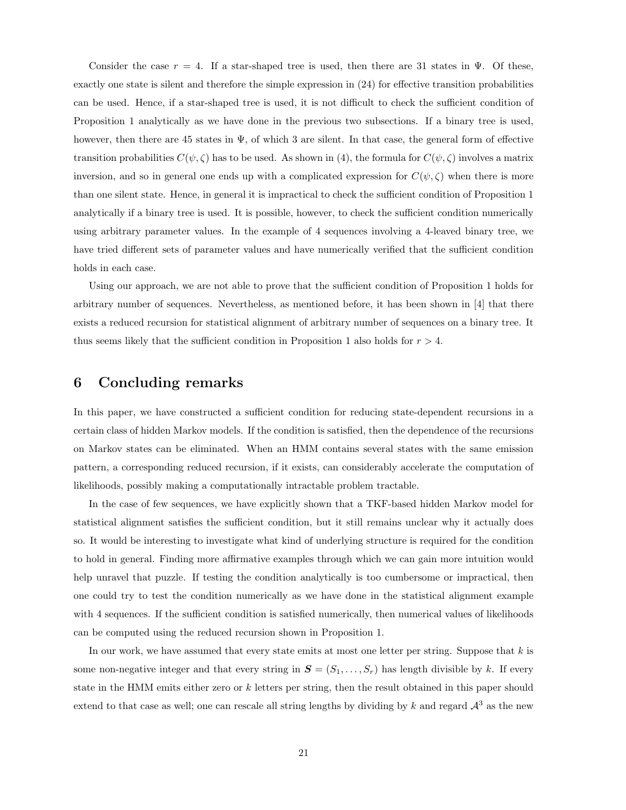Consider the case  $r = 4$ . If a star-shaped tree is used, then there are 31 states in Ψ. Of these, exactly one state is silent and therefore the simple expression in (24) for effective transition probabilities can be used. Hence, if a star-shaped tree is used, it is not difficult to check the sufficient condition of Proposition 1 analytically as we have done in the previous two subsections. If a binary tree is used, however, then there are 45 states in Ψ, of which 3 are silent. In that case, the general form of effective transition probabilities  $C(\psi, \zeta)$  has to be used. As shown in (4), the formula for  $C(\psi, \zeta)$  involves a matrix inversion, and so in general one ends up with a complicated expression for  $C(\psi,\zeta)$  when there is more than one silent state. Hence, in general it is impractical to check the sufficient condition of Proposition 1 analytically if a binary tree is used. It is possible, however, to check the sufficient condition numerically using arbitrary parameter values. In the example of 4 sequences involving a 4-leaved binary tree, we have tried different sets of parameter values and have numerically verified that the sufficient condition holds in each case.

Using our approach, we are not able to prove that the sufficient condition of Proposition 1 holds for arbitrary number of sequences. Nevertheless, as mentioned before, it has been shown in [4] that there exists a reduced recursion for statistical alignment of arbitrary number of sequences on a binary tree. It thus seems likely that the sufficient condition in Proposition 1 also holds for  $r > 4$ .

# 6 Concluding remarks

In this paper, we have constructed a sufficient condition for reducing state-dependent recursions in a certain class of hidden Markov models. If the condition is satisfied, then the dependence of the recursions on Markov states can be eliminated. When an HMM contains several states with the same emission pattern, a corresponding reduced recursion, if it exists, can considerably accelerate the computation of likelihoods, possibly making a computationally intractable problem tractable.

In the case of few sequences, we have explicitly shown that a TKF-based hidden Markov model for statistical alignment satisfies the sufficient condition, but it still remains unclear why it actually does so. It would be interesting to investigate what kind of underlying structure is required for the condition to hold in general. Finding more affirmative examples through which we can gain more intuition would help unravel that puzzle. If testing the condition analytically is too cumbersome or impractical, then one could try to test the condition numerically as we have done in the statistical alignment example with 4 sequences. If the sufficient condition is satisfied numerically, then numerical values of likelihoods can be computed using the reduced recursion shown in Proposition 1.

In our work, we have assumed that every state emits at most one letter per string. Suppose that  $k$  is some non-negative integer and that every string in  $S = (S_1, \ldots, S_r)$  has length divisible by k. If every state in the HMM emits either zero or  $k$  letters per string, then the result obtained in this paper should extend to that case as well; one can rescale all string lengths by dividing by k and regard  $\mathcal{A}^3$  as the new